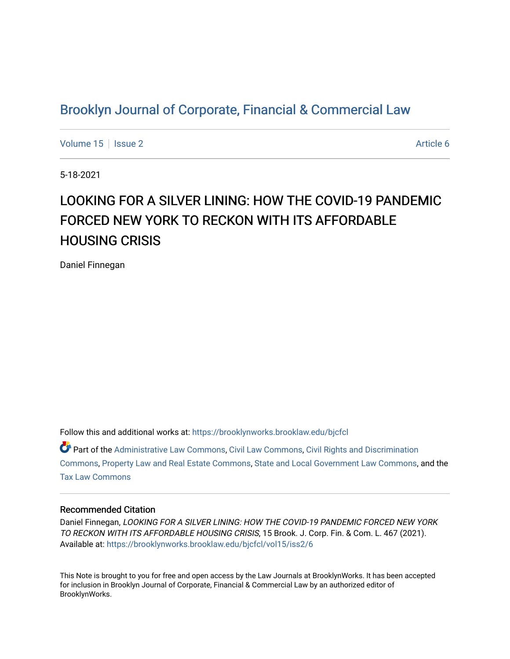# [Brooklyn Journal of Corporate, Financial & Commercial Law](https://brooklynworks.brooklaw.edu/bjcfcl)

[Volume 15](https://brooklynworks.brooklaw.edu/bjcfcl/vol15) | [Issue 2](https://brooklynworks.brooklaw.edu/bjcfcl/vol15/iss2) Article 6

5-18-2021

# LOOKING FOR A SILVER LINING: HOW THE COVID-19 PANDEMIC FORCED NEW YORK TO RECKON WITH ITS AFFORDABLE HOUSING CRISIS

Daniel Finnegan

Follow this and additional works at: [https://brooklynworks.brooklaw.edu/bjcfcl](https://brooklynworks.brooklaw.edu/bjcfcl?utm_source=brooklynworks.brooklaw.edu%2Fbjcfcl%2Fvol15%2Fiss2%2F6&utm_medium=PDF&utm_campaign=PDFCoverPages)

Part of the [Administrative Law Commons,](http://network.bepress.com/hgg/discipline/579?utm_source=brooklynworks.brooklaw.edu%2Fbjcfcl%2Fvol15%2Fiss2%2F6&utm_medium=PDF&utm_campaign=PDFCoverPages) [Civil Law Commons](http://network.bepress.com/hgg/discipline/835?utm_source=brooklynworks.brooklaw.edu%2Fbjcfcl%2Fvol15%2Fiss2%2F6&utm_medium=PDF&utm_campaign=PDFCoverPages), [Civil Rights and Discrimination](http://network.bepress.com/hgg/discipline/585?utm_source=brooklynworks.brooklaw.edu%2Fbjcfcl%2Fvol15%2Fiss2%2F6&utm_medium=PDF&utm_campaign=PDFCoverPages)  [Commons](http://network.bepress.com/hgg/discipline/585?utm_source=brooklynworks.brooklaw.edu%2Fbjcfcl%2Fvol15%2Fiss2%2F6&utm_medium=PDF&utm_campaign=PDFCoverPages), [Property Law and Real Estate Commons](http://network.bepress.com/hgg/discipline/897?utm_source=brooklynworks.brooklaw.edu%2Fbjcfcl%2Fvol15%2Fiss2%2F6&utm_medium=PDF&utm_campaign=PDFCoverPages), [State and Local Government Law Commons,](http://network.bepress.com/hgg/discipline/879?utm_source=brooklynworks.brooklaw.edu%2Fbjcfcl%2Fvol15%2Fiss2%2F6&utm_medium=PDF&utm_campaign=PDFCoverPages) and the [Tax Law Commons](http://network.bepress.com/hgg/discipline/898?utm_source=brooklynworks.brooklaw.edu%2Fbjcfcl%2Fvol15%2Fiss2%2F6&utm_medium=PDF&utm_campaign=PDFCoverPages)

### Recommended Citation

Daniel Finnegan, LOOKING FOR A SILVER LINING: HOW THE COVID-19 PANDEMIC FORCED NEW YORK TO RECKON WITH ITS AFFORDABLE HOUSING CRISIS, 15 Brook. J. Corp. Fin. & Com. L. 467 (2021). Available at: [https://brooklynworks.brooklaw.edu/bjcfcl/vol15/iss2/6](https://brooklynworks.brooklaw.edu/bjcfcl/vol15/iss2/6?utm_source=brooklynworks.brooklaw.edu%2Fbjcfcl%2Fvol15%2Fiss2%2F6&utm_medium=PDF&utm_campaign=PDFCoverPages)

This Note is brought to you for free and open access by the Law Journals at BrooklynWorks. It has been accepted for inclusion in Brooklyn Journal of Corporate, Financial & Commercial Law by an authorized editor of BrooklynWorks.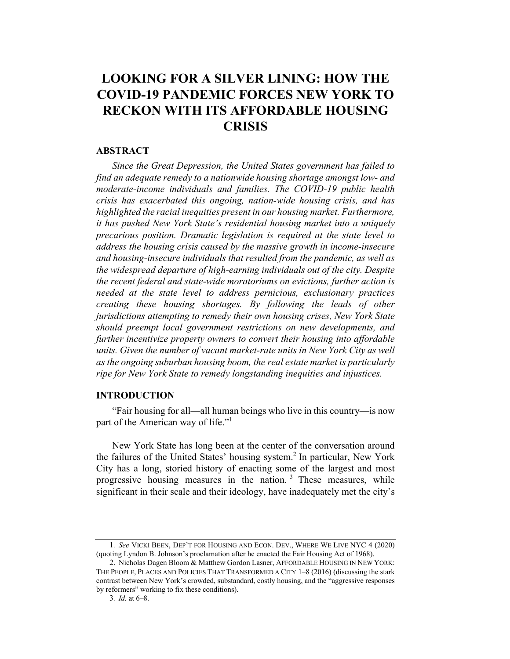# LOOKING FOR A SILVER LINING: HOW THE **COVID-19 PANDEMIC FORCES NEW YORK TO** RECKON WITH ITS AFFORDABLE HOUSING **CRISIS**

#### ABSTRACT

Since the Great Depression, the United States government has failed to find an adequate remedy to a nationwide housing shortage amongst low- and moderate-income individuals and families. The COVID-19 public health crisis has exacerbated this ongoing, nation-wide housing crisis, and has highlighted the racial inequities present in our housing market. Furthermore, it has pushed New York State's residential housing market into a uniquely precarious position. Dramatic legislation is required at the state level to address the housing crisis caused by the massive growth in income-insecure and housing-insecure individuals that resulted from the pandemic, as well as the widespread departure of high-earning individuals out of the city. Despite the recent federal and state-wide moratoriums on evictions, further action is needed at the state level to address pernicious, exclusionary practices creating these housing shortages. By following the leads of other jurisdictions attempting to remedy their own housing crises, New York State should preempt local government restrictions on new developments, and further incentivize property owners to convert their housing into affordable units. Given the number of vacant market-rate units in New York City as well as the ongoing suburban housing boom, the real estate market is particularly ripe for New York State to remedy longstanding inequities and injustices.

#### INTRODUCTION

"Fair housing for all—all human beings who live in this country—is now part of the American way of life."<sup>1</sup>

New York State has long been at the center of the conversation around the failures of the United States' housing system.<sup>2</sup> In particular, New York City has a long, storied history of enacting some of the largest and most progressive housing measures in the nation.<sup>3</sup> These measures, while significant in their scale and their ideology, have inadequately met the city's

<sup>1</sup>. See VICKI BEEN, DEP'T FOR HOUSING AND ECON. DEV., WHERE WE LIVE NYC 4 (2020) (quoting Lyndon B. Johnson's proclamation after he enacted the Fair Housing Act of 1968).

<sup>2.</sup> Nicholas Dagen Bloom & Matthew Gordon Lasner, AFFORDABLE HOUSING IN NEW YORK: THE PEOPLE, PLACES AND POLICIES THAT TRANSFORMED A CITY 1–8 (2016) (discussing the stark contrast between New York's crowded, substandard, costly housing, and the "aggressive responses by reformers" working to fix these conditions).

<sup>3</sup>. Id. at 6–8.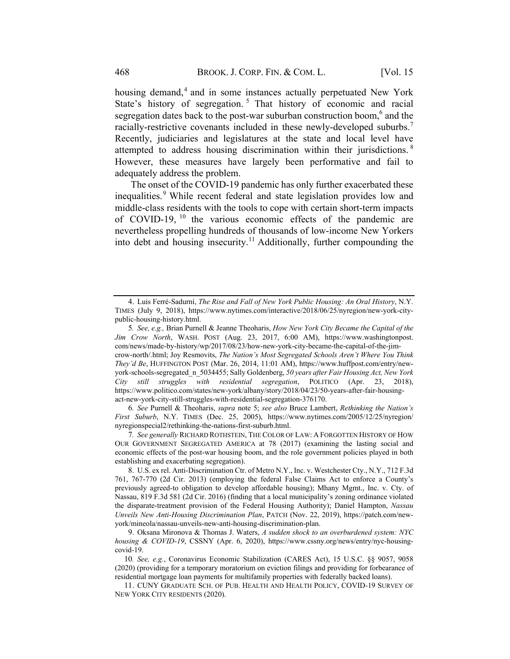housing demand,<sup>4</sup> and in some instances actually perpetuated New York State's history of segregation.<sup>5</sup> That history of economic and racial segregation dates back to the post-war suburban construction boom,<sup>6</sup> and the racially-restrictive covenants included in these newly-developed suburbs.<sup>7</sup> Recently, judiciaries and legislatures at the state and local level have attempted to address housing discrimination within their jurisdictions.<sup>8</sup> However, these measures have largely been performative and fail to adequately address the problem.

The onset of the COVID-19 pandemic has only further exacerbated these inequalities.<sup>9</sup> While recent federal and state legislation provides low and middle-class residents with the tools to cope with certain short-term impacts of COVID-19,  $^{10}$  the various economic effects of the pandemic are nevertheless propelling hundreds of thousands of low-income New Yorkers into debt and housing insecurity.<sup>11</sup> Additionally, further compounding the

6. See Purnell & Theoharis, supra note 5; see also Bruce Lambert, Rethinking the Nation's First Suburb, N.Y. TIMES (Dec. 25, 2005), https://www.nytimes.com/2005/12/25/nyregion/ nyregionspecial2/rethinking-the-nations-first-suburb.html.

<sup>4.</sup> Luis Ferré-Sadurní, The Rise and Fall of New York Public Housing: An Oral History, N.Y. TIMES (July 9, 2018), https://www.nytimes.com/interactive/2018/06/25/nyregion/new-york-citypublic-housing-history.html.

<sup>5</sup>. See, e.g., Brian Purnell & Jeanne Theoharis, How New York City Became the Capital of the Jim Crow North, WASH. POST (Aug. 23, 2017, 6:00 AM), https://www.washingtonpost. com/news/made-by-history/wp/2017/08/23/how-new-york-city-became-the-capital-of-the-jimcrow-north/.html; Joy Resmovits, The Nation's Most Segregated Schools Aren't Where You Think They'd Be, HUFFINGTON POST (Mar. 26, 2014, 11:01 AM), https://www.huffpost.com/entry/newyork-schools-segregated\_n\_5034455; Sally Goldenberg, 50 years after Fair Housing Act, New York City still struggles with residential segregation, POLITICO (Apr. 23, 2018), https://www.politico.com/states/new-york/albany/story/2018/04/23/50-years-after-fair-housingact-new-york-city-still-struggles-with-residential-segregation-376170.

<sup>7.</sup> See generally RICHARD ROTHSTEIN, THE COLOR OF LAW: A FORGOTTEN HISTORY OF HOW OUR GOVERNMENT SEGREGATED AMERICA at 78 (2017) (examining the lasting social and economic effects of the post-war housing boom, and the role government policies played in both establishing and exacerbating segregation).

<sup>8.</sup> U.S. ex rel. Anti-Discrimination Ctr. of Metro N.Y., Inc. v. Westchester Cty., N.Y., 712 F.3d 761, 767-770 (2d Cir. 2013) (employing the federal False Claims Act to enforce a County's previously agreed-to obligation to develop affordable housing); Mhany Mgmt., Inc. v. Cty. of Nassau, 819 F.3d 581 (2d Cir. 2016) (finding that a local municipality's zoning ordinance violated the disparate-treatment provision of the Federal Housing Authority); Daniel Hampton, Nassau Unveils New Anti-Housing Discrimination Plan, PATCH (Nov. 22, 2019), https://patch.com/newyork/mineola/nassau-unveils-new-anti-housing-discrimination-plan.

<sup>9.</sup> Oksana Mironova & Thomas J. Waters, A sudden shock to an overburdened system: NYC housing & COVID-19, CSSNY (Apr. 6, 2020), https://www.cssny.org/news/entry/nyc-housingcovid-19.

<sup>10</sup>. See, e.g., Coronavirus Economic Stabilization (CARES Act), 15 U.S.C. §§ 9057, 9058 (2020) (providing for a temporary moratorium on eviction filings and providing for forbearance of residential mortgage loan payments for multifamily properties with federally backed loans).

<sup>11.</sup> CUNY GRADUATE SCH. OF PUB. HEALTH AND HEALTH POLICY, COVID-19 SURVEY OF NEW YORK CITY RESIDENTS (2020).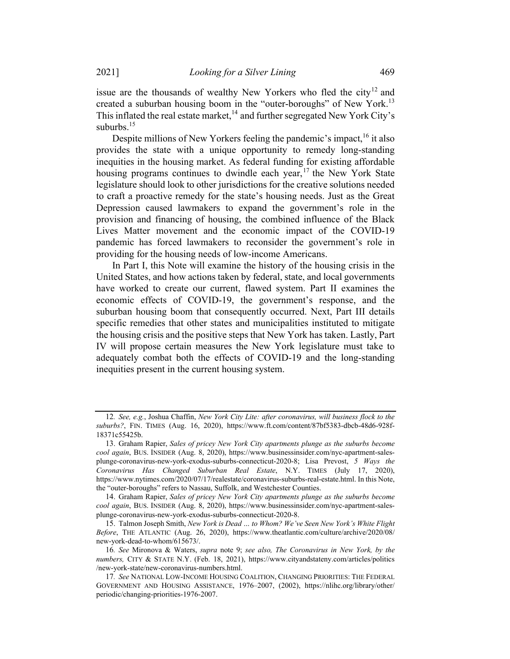issue are the thousands of wealthy New Yorkers who fled the city<sup>12</sup> and created a suburban housing boom in the "outer-boroughs" of New York.<sup>13</sup> This inflated the real estate market, <sup>14</sup> and further segregated New York City's suburbs. 15

Despite millions of New Yorkers feeling the pandemic's impact,  $^{16}$  it also provides the state with a unique opportunity to remedy long-standing inequities in the housing market. As federal funding for existing affordable housing programs continues to dwindle each year,  $17$  the New York State legislature should look to other jurisdictions for the creative solutions needed to craft a proactive remedy for the state's housing needs. Just as the Great Depression caused lawmakers to expand the government's role in the provision and financing of housing, the combined influence of the Black Lives Matter movement and the economic impact of the COVID-19 pandemic has forced lawmakers to reconsider the government's role in providing for the housing needs of low-income Americans.

In Part I, this Note will examine the history of the housing crisis in the United States, and how actions taken by federal, state, and local governments have worked to create our current, flawed system. Part II examines the economic effects of COVID-19, the government's response, and the suburban housing boom that consequently occurred. Next, Part III details specific remedies that other states and municipalities instituted to mitigate the housing crisis and the positive steps that New York has taken. Lastly, Part IV will propose certain measures the New York legislature must take to adequately combat both the effects of COVID-19 and the long-standing inequities present in the current housing system.

<sup>12</sup>. See, e.g., Joshua Chaffin, New York City Lite: after coronavirus, will business flock to the suburbs?, FIN. TIMES (Aug. 16, 2020), https://www.ft.com/content/87bf5383-dbcb-48d6-928f-18371c55425b.

<sup>13.</sup> Graham Rapier, Sales of pricey New York City apartments plunge as the suburbs become cool again, BUS. INSIDER (Aug. 8, 2020), https://www.businessinsider.com/nyc-apartment-salesplunge-coronavirus-new-york-exodus-suburbs-connecticut-2020-8; Lisa Prevost, 5 Ways the Coronavirus Has Changed Suburban Real Estate, N.Y. TIMES (July 17, 2020), https://www.nytimes.com/2020/07/17/realestate/coronavirus-suburbs-real-estate.html. In this Note, the "outer-boroughs" refers to Nassau, Suffolk, and Westchester Counties.

<sup>14.</sup> Graham Rapier, Sales of pricey New York City apartments plunge as the suburbs become cool again, BUS. INSIDER (Aug. 8, 2020), https://www.businessinsider.com/nyc-apartment-salesplunge-coronavirus-new-york-exodus-suburbs-connecticut-2020-8.

<sup>15.</sup> Talmon Joseph Smith, New York is Dead … to Whom? We've Seen New York's White Flight Before, THE ATLANTIC (Aug. 26, 2020), https://www.theatlantic.com/culture/archive/2020/08/ new-york-dead-to-whom/615673/.

<sup>16</sup>. See Mironova & Waters, supra note 9; see also, The Coronavirus in New York, by the numbers, CITY & STATE N.Y. (Feb. 18, 2021), https://www.cityandstateny.com/articles/politics /new-york-state/new-coronavirus-numbers.html.

<sup>17</sup>. See NATIONAL LOW-INCOME HOUSING COALITION, CHANGING PRIORITIES: THE FEDERAL GOVERNMENT AND HOUSING ASSISTANCE, 1976–2007, (2002), https://nlihc.org/library/other/ periodic/changing-priorities-1976-2007.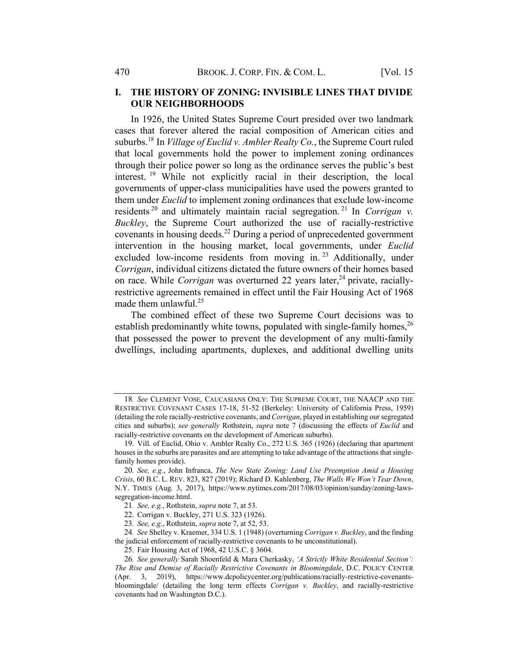# I. THE HISTORY OF ZONING: INVISIBLE LINES THAT DIVIDE OUR NEIGHBORHOODS

In 1926, the United States Supreme Court presided over two landmark cases that forever altered the racial composition of American cities and suburbs.<sup>18</sup> In *Village of Euclid v. Ambler Realty Co.*, the Supreme Court ruled that local governments hold the power to implement zoning ordinances through their police power so long as the ordinance serves the public's best interest. <sup>19</sup> While not explicitly racial in their description, the local governments of upper-class municipalities have used the powers granted to them under Euclid to implement zoning ordinances that exclude low-income residents  $20$  and ultimately maintain racial segregation. <sup>21</sup> In Corrigan v. Buckley, the Supreme Court authorized the use of racially-restrictive covenants in housing deeds.<sup>22</sup> During a period of unprecedented government intervention in the housing market, local governments, under Euclid excluded low-income residents from moving in.<sup>23</sup> Additionally, under Corrigan, individual citizens dictated the future owners of their homes based on race. While *Corrigan* was overturned 22 years later,<sup>24</sup> private, raciallyrestrictive agreements remained in effect until the Fair Housing Act of 1968 made them unlawful. $25$ 

The combined effect of these two Supreme Court decisions was to establish predominantly white towns, populated with single-family homes,  $^{26}$ that possessed the power to prevent the development of any multi-family dwellings, including apartments, duplexes, and additional dwelling units

<sup>18</sup>. See CLEMENT VOSE, CAUCASIANS ONLY: THE SUPREME COURT, THE NAACP AND THE RESTRICTIVE COVENANT CASES 17-18, 51-52 (Berkeley: University of California Press, 1959) (detailing the role racially-restrictive covenants, and Corrigan, played in establishing our segregated cities and suburbs); see generally Rothstein, supra note 7 (discussing the effects of Euclid and racially-restrictive covenants on the development of American suburbs).

<sup>19.</sup> Vill. of Euclid, Ohio v. Ambler Realty Co., 272 U.S. 365 (1926) (declaring that apartment houses in the suburbs are parasites and are attempting to take advantage of the attractions that singlefamily homes provide).

<sup>20</sup>. See, e.g., John Infranca, The New State Zoning: Land Use Preemption Amid a Housing Crisis, 60 B.C. L. REV. 823, 827 (2019); Richard D. Kahlenberg, The Walls We Won't Tear Down, N.Y. TIMES (Aug. 3, 2017), https://www.nytimes.com/2017/08/03/opinion/sunday/zoning-lawssegregation-income.html.

<sup>21</sup>. See, e.g., Rothstein, supra note 7, at 53.

<sup>22.</sup> Corrigan v. Buckley, 271 U.S. 323 (1926).

<sup>23</sup>. See, e.g., Rothstein, supra note 7, at 52, 53.

<sup>24.</sup> See Shelley v. Kraemer, 334 U.S. 1 (1948) (overturning Corrigan v. Buckley, and the finding the judicial enforcement of racially-restrictive covenants to be unconstitutional).

<sup>25.</sup> Fair Housing Act of 1968, 42 U.S.C. § 3604.

<sup>26</sup>. See generally Sarah Shoenfeld & Mara Cherkasky, 'A Strictly White Residential Section': The Rise and Demise of Racially Restrictive Covenants in Bloomingdale, D.C. POLICY CENTER (Apr. 3, 2019), https://www.dcpolicycenter.org/publications/racially-restrictive-covenantsbloomingdale/ (detailing the long term effects Corrigan v. Buckley, and racially-restrictive covenants had on Washington D.C.).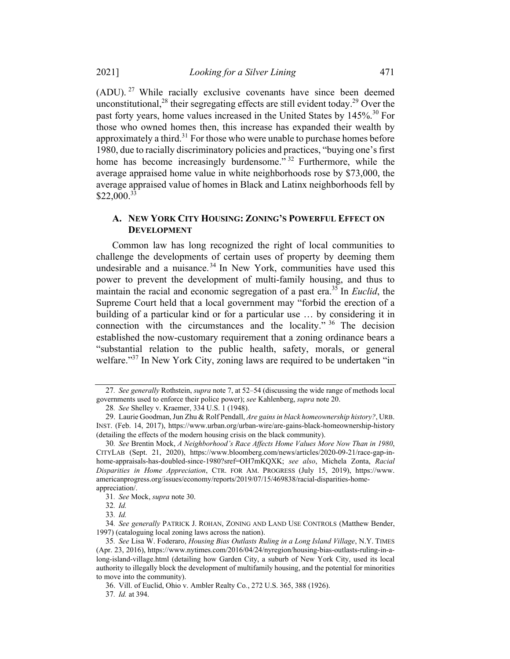(ADU). <sup>27</sup> While racially exclusive covenants have since been deemed unconstitutional,<sup>28</sup> their segregating effects are still evident today.<sup>29</sup> Over the past forty years, home values increased in the United States by 145%.<sup>30</sup> For those who owned homes then, this increase has expanded their wealth by approximately a third.<sup>31</sup> For those who were unable to purchase homes before 1980, due to racially discriminatory policies and practices, "buying one's first home has become increasingly burdensome."<sup>32</sup> Furthermore, while the average appraised home value in white neighborhoods rose by \$73,000, the average appraised value of homes in Black and Latinx neighborhoods fell by  $$22,000.<sup>33</sup>$ 

### A. NEW YORK CITY HOUSING: ZONING'S POWERFUL EFFECT ON DEVELOPMENT

Common law has long recognized the right of local communities to challenge the developments of certain uses of property by deeming them undesirable and a nuisance.<sup>34</sup> In New York, communities have used this power to prevent the development of multi-family housing, and thus to maintain the racial and economic segregation of a past era.<sup>35</sup> In *Euclid*, the Supreme Court held that a local government may "forbid the erection of a building of a particular kind or for a particular use … by considering it in connection with the circumstances and the locality." <sup>36</sup> The decision established the now-customary requirement that a zoning ordinance bears a "substantial relation to the public health, safety, morals, or general welfare."<sup>37</sup> In New York City, zoning laws are required to be undertaken "in

<sup>27</sup>. See generally Rothstein, supra note 7, at 52–54 (discussing the wide range of methods local governments used to enforce their police power); see Kahlenberg, supra note 20.

<sup>28</sup>. See Shelley v. Kraemer, 334 U.S. 1 (1948).

<sup>29.</sup> Laurie Goodman, Jun Zhu & Rolf Pendall, Are gains in black homeownership history?, URB. INST. (Feb. 14, 2017), https://www.urban.org/urban-wire/are-gains-black-homeownership-history (detailing the effects of the modern housing crisis on the black community).

<sup>30</sup>. See Brentin Mock, A Neighborhood's Race Affects Home Values More Now Than in 1980, CITYLAB (Sept. 21, 2020), https://www.bloomberg.com/news/articles/2020-09-21/race-gap-inhome-appraisals-has-doubled-since-1980?sref=OH7mKQXK; see also, Michela Zonta, Racial Disparities in Home Appreciation, CTR. FOR AM. PROGRESS (July 15, 2019), https://www. americanprogress.org/issues/economy/reports/2019/07/15/469838/racial-disparities-homeappreciation/.

<sup>31</sup>. See Mock, supra note 30.

<sup>32</sup>. Id.

<sup>33</sup>. Id.

<sup>34</sup>. See generally PATRICK J. ROHAN, ZONING AND LAND USE CONTROLS (Matthew Bender, 1997) (cataloguing local zoning laws across the nation).

<sup>35</sup>. See Lisa W. Foderaro, Housing Bias Outlasts Ruling in a Long Island Village, N.Y. TIMES (Apr. 23, 2016), https://www.nytimes.com/2016/04/24/nyregion/housing-bias-outlasts-ruling-in-along-island-village.html (detailing how Garden City, a suburb of New York City, used its local authority to illegally block the development of multifamily housing, and the potential for minorities to move into the community).

<sup>36.</sup> Vill. of Euclid, Ohio v. Ambler Realty Co., 272 U.S. 365, 388 (1926).

<sup>37</sup>. Id. at 394.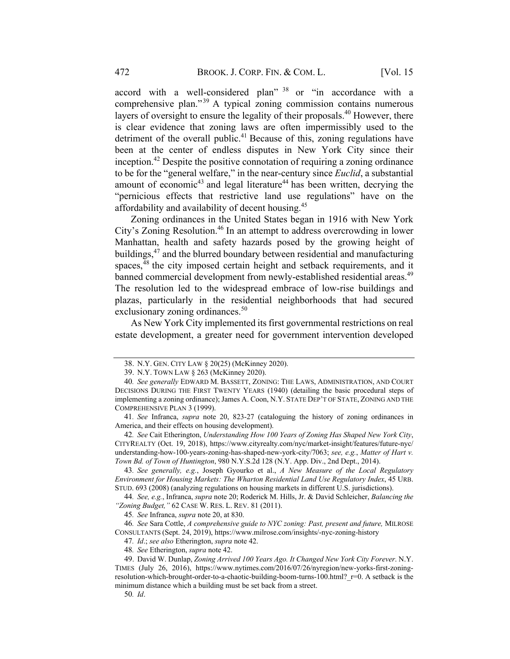accord with a well-considered plan" <sup>38</sup> or "in accordance with a comprehensive plan."<sup>39</sup> A typical zoning commission contains numerous layers of oversight to ensure the legality of their proposals.<sup>40</sup> However, there is clear evidence that zoning laws are often impermissibly used to the detriment of the overall public.<sup>41</sup> Because of this, zoning regulations have been at the center of endless disputes in New York City since their inception.42 Despite the positive connotation of requiring a zoning ordinance to be for the "general welfare," in the near-century since Euclid, a substantial amount of economic<sup>43</sup> and legal literature<sup>44</sup> has been written, decrying the "pernicious effects that restrictive land use regulations" have on the affordability and availability of decent housing.45

Zoning ordinances in the United States began in 1916 with New York City's Zoning Resolution.<sup>46</sup> In an attempt to address overcrowding in lower Manhattan, health and safety hazards posed by the growing height of buildings,<sup>47</sup> and the blurred boundary between residential and manufacturing spaces,<sup>48</sup> the city imposed certain height and setback requirements, and it banned commercial development from newly-established residential areas.<sup>49</sup> The resolution led to the widespread embrace of low-rise buildings and plazas, particularly in the residential neighborhoods that had secured exclusionary zoning ordinances.<sup>50</sup>

As New York City implemented its first governmental restrictions on real estate development, a greater need for government intervention developed

50. Id.

<sup>38.</sup> N.Y. GEN. CITY LAW § 20(25) (McKinney 2020).

<sup>39.</sup> N.Y. TOWN LAW § 263 (McKinney 2020).

<sup>40</sup>. See generally EDWARD M. BASSETT, ZONING: THE LAWS, ADMINISTRATION, AND COURT DECISIONS DURING THE FIRST TWENTY YEARS (1940) (detailing the basic procedural steps of implementing a zoning ordinance); James A. Coon, N.Y. STATE DEP'T OF STATE, ZONING AND THE COMPREHENSIVE PLAN 3 (1999).

<sup>41.</sup> See Infranca, supra note 20, 823-27 (cataloguing the history of zoning ordinances in America, and their effects on housing development).

<sup>42</sup>. See Cait Etherington, Understanding How 100 Years of Zoning Has Shaped New York City, CITYREALTY (Oct. 19, 2018), https://www.cityrealty.com/nyc/market-insight/features/future-nyc/ understanding-how-100-years-zoning-has-shaped-new-york-city/7063; see, e.g., Matter of Hart v. Town Bd. of Town of Huntington, 980 N.Y.S.2d 128 (N.Y. App. Div., 2nd Dept., 2014).

<sup>43</sup>. See generally, e.g., Joseph Gyourko et al., A New Measure of the Local Regulatory Environment for Housing Markets: The Wharton Residential Land Use Regulatory Index, 45 URB. STUD. 693 (2008) (analyzing regulations on housing markets in different U.S. jurisdictions).

<sup>44</sup>. See, e.g., Infranca, supra note 20; Roderick M. Hills, Jr. & David Schleicher, Balancing the "Zoning Budget," 62 CASE W. RES. L. REV. 81 (2011).

<sup>45</sup>. See Infranca, supra note 20, at 830.

<sup>46</sup>. See Sara Cottle, A comprehensive guide to NYC zoning: Past, present and future, MILROSE CONSULTANTS (Sept. 24, 2019), https://www.milrose.com/insights/-nyc-zoning-history

<sup>47.</sup> Id.; see also Etherington, supra note 42.

<sup>48</sup>. See Etherington, supra note 42.

<sup>49.</sup> David W. Dunlap, Zoning Arrived 100 Years Ago. It Changed New York City Forever. N.Y. TIMES (July 26, 2016), https://www.nytimes.com/2016/07/26/nyregion/new-yorks-first-zoningresolution-which-brought-order-to-a-chaotic-building-boom-turns-100.html? r=0. A setback is the minimum distance which a building must be set back from a street.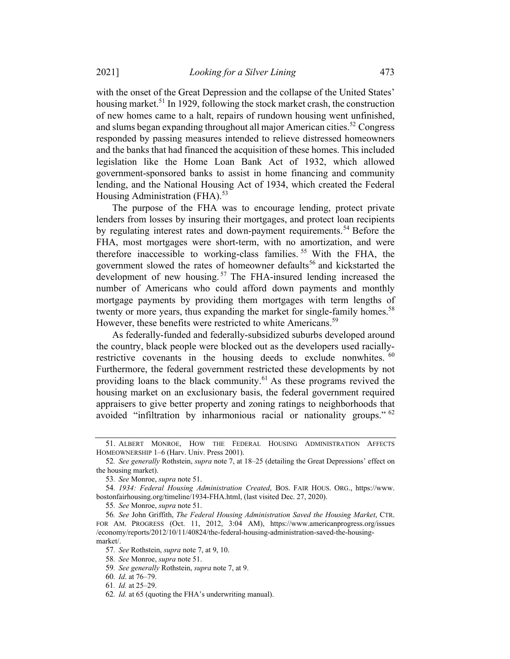with the onset of the Great Depression and the collapse of the United States' housing market.<sup>51</sup> In 1929, following the stock market crash, the construction of new homes came to a halt, repairs of rundown housing went unfinished, and slums began expanding throughout all major American cities.<sup>52</sup> Congress responded by passing measures intended to relieve distressed homeowners and the banks that had financed the acquisition of these homes. This included legislation like the Home Loan Bank Act of 1932, which allowed government-sponsored banks to assist in home financing and community lending, and the National Housing Act of 1934, which created the Federal Housing Administration (FHA). $53$ 

The purpose of the FHA was to encourage lending, protect private lenders from losses by insuring their mortgages, and protect loan recipients by regulating interest rates and down-payment requirements.<sup>54</sup> Before the FHA, most mortgages were short-term, with no amortization, and were therefore inaccessible to working-class families.<sup>55</sup> With the FHA, the government slowed the rates of homeowner defaults<sup>56</sup> and kickstarted the development of new housing.<sup>57</sup> The FHA-insured lending increased the number of Americans who could afford down payments and monthly mortgage payments by providing them mortgages with term lengths of twenty or more years, thus expanding the market for single-family homes.<sup>58</sup> However, these benefits were restricted to white Americans.<sup>59</sup>

As federally-funded and federally-subsidized suburbs developed around the country, black people were blocked out as the developers used raciallyrestrictive covenants in the housing deeds to exclude nonwhites. <sup>60</sup> Furthermore, the federal government restricted these developments by not providing loans to the black community.<sup>61</sup> As these programs revived the housing market on an exclusionary basis, the federal government required appraisers to give better property and zoning ratings to neighborhoods that avoided "infiltration by inharmonious racial or nationality groups." <sup>62</sup>

<sup>51.</sup> ALBERT MONROE, HOW THE FEDERAL HOUSING ADMINISTRATION AFFECTS HOMEOWNERSHIP 1–6 (Harv. Univ. Press 2001).

<sup>52.</sup> See generally Rothstein, *supra* note 7, at 18–25 (detailing the Great Depressions' effect on the housing market).

<sup>53</sup>. See Monroe, supra note 51.

<sup>54</sup>. 1934: Federal Housing Administration Created, BOS. FAIR HOUS. ORG., https://www. bostonfairhousing.org/timeline/1934-FHA.html, (last visited Dec. 27, 2020).

<sup>55</sup>. See Monroe, supra note 51.

<sup>56</sup>. See John Griffith, The Federal Housing Administration Saved the Housing Market, CTR. FOR AM. PROGRESS (Oct. 11, 2012, 3:04 AM), https://www.americanprogress.org/issues /economy/reports/2012/10/11/40824/the-federal-housing-administration-saved-the-housingmarket/.

<sup>57.</sup> See Rothstein, supra note 7, at 9, 10.

<sup>58</sup>. See Monroe, supra note 51.

<sup>59</sup>. See generally Rothstein, supra note 7, at 9.

<sup>60</sup>. Id. at 76–79.

<sup>61</sup>. Id. at 25–29.

<sup>62</sup>. Id. at 65 (quoting the FHA's underwriting manual).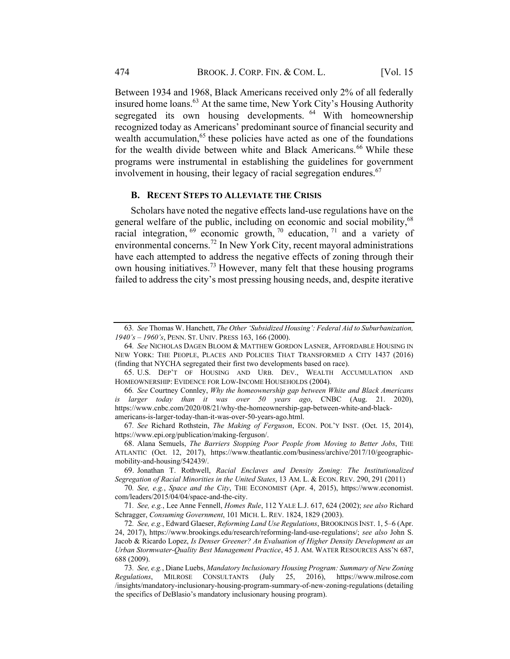Between 1934 and 1968, Black Americans received only 2% of all federally insured home loans.<sup>63</sup> At the same time, New York City's Housing Authority segregated its own housing developments. <sup>64</sup> With homeownership recognized today as Americans' predominant source of financial security and wealth accumulation, $65$  these policies have acted as one of the foundations for the wealth divide between white and Black Americans.<sup>66</sup> While these programs were instrumental in establishing the guidelines for government involvement in housing, their legacy of racial segregation endures.  $67$ 

#### B. RECENT STEPS TO ALLEVIATE THE CRISIS

Scholars have noted the negative effects land-use regulations have on the general welfare of the public, including on economic and social mobility,<sup>68</sup> racial integration,  $69$  economic growth,  $70$  education,  $71$  and a variety of environmental concerns.<sup>72</sup> In New York City, recent mayoral administrations have each attempted to address the negative effects of zoning through their own housing initiatives.<sup>73</sup> However, many felt that these housing programs failed to address the city's most pressing housing needs, and, despite iterative

<sup>63</sup>. See Thomas W. Hanchett, The Other 'Subsidized Housing': Federal Aid to Suburbanization, 1940's – 1960's, PENN. ST. UNIV. PRESS 163, 166 (2000).

<sup>64</sup>. See NICHOLAS DAGEN BLOOM & MATTHEW GORDON LASNER, AFFORDABLE HOUSING IN NEW YORK: THE PEOPLE, PLACES AND POLICIES THAT TRANSFORMED A CITY 1437 (2016) (finding that NYCHA segregated their first two developments based on race).

<sup>65.</sup> U.S. DEP'T OF HOUSING AND URB. DEV., WEALTH ACCUMULATION AND HOMEOWNERSHIP: EVIDENCE FOR LOW-INCOME HOUSEHOLDS (2004).

<sup>66</sup>. See Courtney Connley, Why the homeownership gap between White and Black Americans is larger today than it was over  $50$  years ago, CNBC (Aug. 21. 2020), https://www.cnbc.com/2020/08/21/why-the-homeownership-gap-between-white-and-blackamericans-is-larger-today-than-it-was-over-50-years-ago.html.

<sup>67</sup>. See Richard Rothstein, The Making of Ferguson, ECON. POL'Y INST. (Oct. 15, 2014), https://www.epi.org/publication/making-ferguson/.

<sup>68.</sup> Alana Semuels, The Barriers Stopping Poor People from Moving to Better Jobs, THE ATLANTIC (Oct. 12, 2017), https://www.theatlantic.com/business/archive/2017/10/geographicmobility-and-housing/542439/.

<sup>69.</sup> Jonathan T. Rothwell, Racial Enclaves and Density Zoning: The Institutionalized Segregation of Racial Minorities in the United States, 13 AM. L. & ECON. REV. 290, 291 (2011)

<sup>70</sup>. See, e.g., Space and the City, THE ECONOMIST (Apr. 4, 2015), https://www.economist. com/leaders/2015/04/04/space-and-the-city.

<sup>71</sup>. See, e.g., Lee Anne Fennell, Homes Rule, 112 YALE L.J. 617, 624 (2002); see also Richard Schragger, Consuming Government, 101 MICH. L. REV. 1824, 1829 (2003).

<sup>72</sup>. See, e.g., Edward Glaeser, Reforming Land Use Regulations, BROOKINGS INST. 1, 5–6 (Apr. 24, 2017), https://www.brookings.edu/research/reforming-land-use-regulations/; see also John S. Jacob & Ricardo Lopez, Is Denser Greener? An Evaluation of Higher Density Development as an Urban Stormwater-Quality Best Management Practice, 45 J. AM. WATER RESOURCES ASS'N 687, 688 (2009).

<sup>73</sup>. See, e.g., Diane Luebs, Mandatory Inclusionary Housing Program: Summary of New Zoning Regulations, MILROSE CONSULTANTS (July 25, 2016), https://www.milrose.com /insights/mandatory-inclusionary-housing-program-summary-of-new-zoning-regulations (detailing the specifics of DeBlasio's mandatory inclusionary housing program).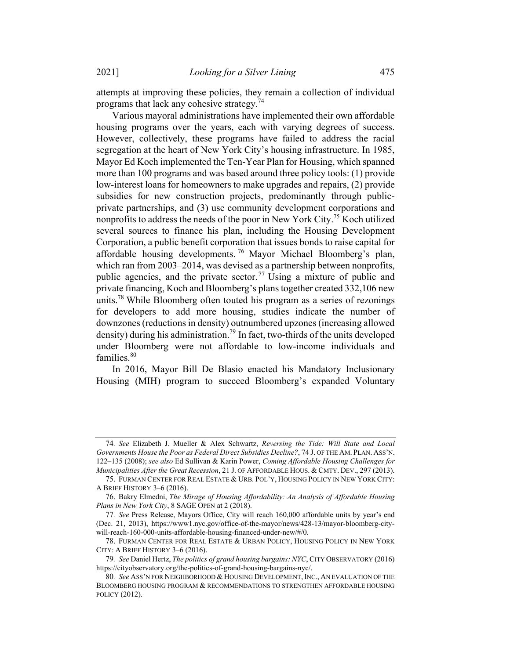attempts at improving these policies, they remain a collection of individual programs that lack any cohesive strategy.<sup>74</sup>

Various mayoral administrations have implemented their own affordable housing programs over the years, each with varying degrees of success. However, collectively, these programs have failed to address the racial segregation at the heart of New York City's housing infrastructure. In 1985, Mayor Ed Koch implemented the Ten-Year Plan for Housing, which spanned more than 100 programs and was based around three policy tools: (1) provide low-interest loans for homeowners to make upgrades and repairs, (2) provide subsidies for new construction projects, predominantly through publicprivate partnerships, and (3) use community development corporations and nonprofits to address the needs of the poor in New York City.<sup>75</sup> Koch utilized several sources to finance his plan, including the Housing Development Corporation, a public benefit corporation that issues bonds to raise capital for affordable housing developments. <sup>76</sup> Mayor Michael Bloomberg's plan, which ran from 2003–2014, was devised as a partnership between nonprofits, public agencies, and the private sector.<sup>77</sup> Using a mixture of public and private financing, Koch and Bloomberg's planstogether created 332,106 new units.<sup>78</sup> While Bloomberg often touted his program as a series of rezonings for developers to add more housing, studies indicate the number of downzones (reductions in density) outnumbered upzones (increasing allowed density) during his administration.<sup>79</sup> In fact, two-thirds of the units developed under Bloomberg were not affordable to low-income individuals and families.<sup>80</sup>

In 2016, Mayor Bill De Blasio enacted his Mandatory Inclusionary Housing (MIH) program to succeed Bloomberg's expanded Voluntary

<sup>74</sup>. See Elizabeth J. Mueller & Alex Schwartz, Reversing the Tide: Will State and Local Governments House the Poor as Federal Direct Subsidies Decline?, 74 J. OF THE AM. PLAN. ASS'N. 122–135 (2008); see also Ed Sullivan & Karin Power, Coming Affordable Housing Challenges for Municipalities After the Great Recession, 21 J. OF AFFORDABLE HOUS. & CMTY. DEV., 297 (2013).

<sup>75.</sup> FURMAN CENTER FOR REAL ESTATE & URB. POL'Y, HOUSING POLICY IN NEW YORK CITY: A BRIEF HISTORY 3–6 (2016).

<sup>76.</sup> Bakry Elmedni, The Mirage of Housing Affordability: An Analysis of Affordable Housing Plans in New York City, 8 SAGE OPEN at 2 (2018).

<sup>77</sup>. See Press Release, Mayors Office, City will reach 160,000 affordable units by year's end (Dec. 21, 2013), https://www1.nyc.gov/office-of-the-mayor/news/428-13/mayor-bloomberg-citywill-reach-160-000-units-affordable-housing-financed-under-new/#/0.

<sup>78.</sup> FURMAN CENTER FOR REAL ESTATE & URBAN POLICY, HOUSING POLICY IN NEW YORK CITY: A BRIEF HISTORY 3–6 (2016).

<sup>79</sup>. See Daniel Hertz, The politics of grand housing bargains: NYC, CITY OBSERVATORY (2016) https://cityobservatory.org/the-politics-of-grand-housing-bargains-nyc/.

<sup>80</sup>. See ASS'N FOR NEIGHBORHOOD & HOUSING DEVELOPMENT, INC., AN EVALUATION OF THE BLOOMBERG HOUSING PROGRAM & RECOMMENDATIONS TO STRENGTHEN AFFORDABLE HOUSING POLICY (2012).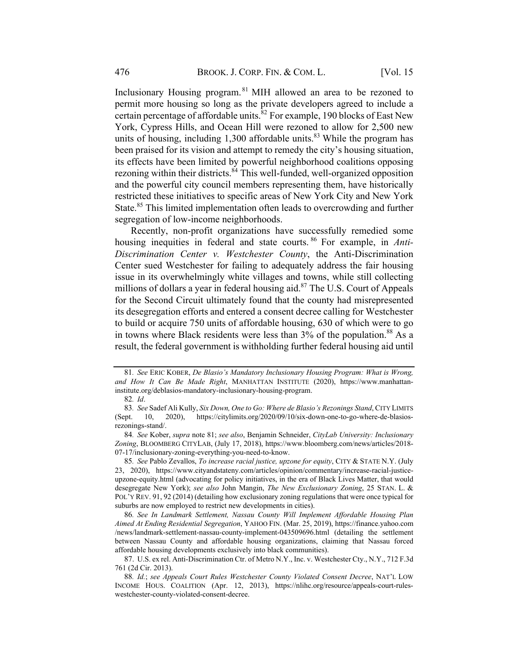Inclusionary Housing program. <sup>81</sup> MIH allowed an area to be rezoned to permit more housing so long as the private developers agreed to include a certain percentage of affordable units.<sup>82</sup> For example, 190 blocks of East New York, Cypress Hills, and Ocean Hill were rezoned to allow for 2,500 new units of housing, including 1,300 affordable units.<sup>83</sup> While the program has been praised for its vision and attempt to remedy the city's housing situation, its effects have been limited by powerful neighborhood coalitions opposing rezoning within their districts.<sup>84</sup> This well-funded, well-organized opposition and the powerful city council members representing them, have historically restricted these initiatives to specific areas of New York City and New York State.<sup>85</sup> This limited implementation often leads to overcrowding and further segregation of low-income neighborhoods.

Recently, non-profit organizations have successfully remedied some housing inequities in federal and state courts. <sup>86</sup> For example, in *Anti*-Discrimination Center v. Westchester County, the Anti-Discrimination Center sued Westchester for failing to adequately address the fair housing issue in its overwhelmingly white villages and towns, while still collecting millions of dollars a year in federal housing aid.<sup>87</sup> The U.S. Court of Appeals for the Second Circuit ultimately found that the county had misrepresented its desegregation efforts and entered a consent decree calling for Westchester to build or acquire 750 units of affordable housing, 630 of which were to go in towns where Black residents were less than 3% of the population.<sup>88</sup> As a result, the federal government is withholding further federal housing aid until

<sup>81</sup>. See ERIC KOBER, De Blasio's Mandatory Inclusionary Housing Program: What is Wrong, and How It Can Be Made Right, MANHATTAN INSTITUTE (2020), https://www.manhattaninstitute.org/deblasios-mandatory-inclusionary-housing-program.

<sup>82</sup>. Id.

<sup>83.</sup> See Sadef Ali Kully, Six Down, One to Go: Where de Blasio's Rezonings Stand, CITY LIMITS (Sept. 10, 2020), https://citylimits.org/2020/09/10/six-down-one-to-go-where-de-blasiosrezonings-stand/.

<sup>84</sup>. See Kober, supra note 81; see also, Benjamin Schneider, CityLab University: Inclusionary Zoning, BLOOMBERG CITYLAB, (July 17, 2018), https://www.bloomberg.com/news/articles/2018- 07-17/inclusionary-zoning-everything-you-need-to-know.

<sup>85.</sup> See Pablo Zevallos, To increase racial justice, upzone for equity, CITY & STATE N.Y. (July 23, 2020), https://www.cityandstateny.com/articles/opinion/commentary/increase-racial-justiceupzone-equity.html (advocating for policy initiatives, in the era of Black Lives Matter, that would desegregate New York); see also John Mangin, The New Exclusionary Zoning, 25 STAN. L. & POL'Y REV. 91, 92 (2014) (detailing how exclusionary zoning regulations that were once typical for suburbs are now employed to restrict new developments in cities).

<sup>86</sup>. See In Landmark Settlement, Nassau County Will Implement Affordable Housing Plan Aimed At Ending Residential Segregation, YAHOO FIN. (Mar. 25, 2019), https://finance.yahoo.com /news/landmark-settlement-nassau-county-implement-043509696.html (detailing the settlement between Nassau County and affordable housing organizations, claiming that Nassau forced affordable housing developments exclusively into black communities).

<sup>87.</sup> U.S. ex rel. Anti-Discrimination Ctr. of Metro N.Y., Inc. v. Westchester Cty., N.Y., 712 F.3d 761 (2d Cir. 2013).

<sup>88</sup>. Id.; see Appeals Court Rules Westchester County Violated Consent Decree, NAT'L LOW INCOME HOUS. COALITION (Apr. 12, 2013), https://nlihc.org/resource/appeals-court-ruleswestchester-county-violated-consent-decree.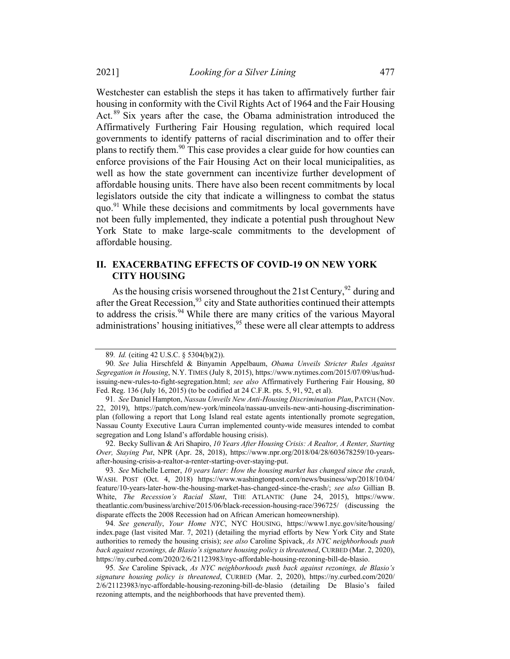Westchester can establish the steps it has taken to affirmatively further fair housing in conformity with the Civil Rights Act of 1964 and the Fair Housing Act.<sup>89</sup> Six years after the case, the Obama administration introduced the Affirmatively Furthering Fair Housing regulation, which required local governments to identify patterns of racial discrimination and to offer their plans to rectify them.<sup>90</sup> This case provides a clear guide for how counties can enforce provisions of the Fair Housing Act on their local municipalities, as well as how the state government can incentivize further development of affordable housing units. There have also been recent commitments by local legislators outside the city that indicate a willingness to combat the status quo. $91$ <sup>I</sup> While these decisions and commitments by local governments have not been fully implemented, they indicate a potential push throughout New York State to make large-scale commitments to the development of affordable housing.

# II. EXACERBATING EFFECTS OF COVID-19 ON NEW YORK CITY HOUSING

As the housing crisis worsened throughout the 21st Century,  $92$  during and after the Great Recession,<sup>93</sup> city and State authorities continued their attempts to address the crisis.<sup>94</sup> While there are many critics of the various Mayoral administrations' housing initiatives,  $95$  these were all clear attempts to address

92. Becky Sullivan & Ari Shapiro, 10 Years After Housing Crisis: A Realtor, A Renter, Starting Over, Staying Put, NPR (Apr. 28, 2018), https://www.npr.org/2018/04/28/603678259/10-yearsafter-housing-crisis-a-realtor-a-renter-starting-over-staying-put.

93. See Michelle Lerner, 10 years later: How the housing market has changed since the crash, WASH. POST (Oct. 4, 2018) https://www.washingtonpost.com/news/business/wp/2018/10/04/ feature/10-years-later-how-the-housing-market-has-changed-since-the-crash/; see also Gillian B. White, The Recession's Racial Slant, THE ATLANTIC (June 24, 2015), https://www. theatlantic.com/business/archive/2015/06/black-recession-housing-race/396725/ (discussing the disparate effects the 2008 Recession had on African American homeownership).

94. See generally, Your Home NYC, NYC HOUSING, https://www1.nyc.gov/site/housing/ index.page (last visited Mar. 7, 2021) (detailing the myriad efforts by New York City and State authorities to remedy the housing crisis); see also Caroline Spivack, As NYC neighborhoods push back against rezonings, de Blasio's signature housing policy is threatened, CURBED (Mar. 2, 2020), https://ny.curbed.com/2020/2/6/21123983/nyc-affordable-housing-rezoning-bill-de-blasio.

95. See Caroline Spivack, As NYC neighborhoods push back against rezonings, de Blasio's signature housing policy is threatened, CURBED (Mar. 2, 2020), https://ny.curbed.com/2020/ 2/6/21123983/nyc-affordable-housing-rezoning-bill-de-blasio (detailing De Blasio's failed rezoning attempts, and the neighborhoods that have prevented them).

<sup>89</sup>. Id. (citing 42 U.S.C. § 5304(b)(2)).

<sup>90</sup>. See Julia Hirschfeld & Binyamin Appelbaum, Obama Unveils Stricter Rules Against Segregation in Housing, N.Y. TIMES (July 8, 2015), https://www.nytimes.com/2015/07/09/us/hudissuing-new-rules-to-fight-segregation.html; see also Affirmatively Furthering Fair Housing, 80 Fed. Reg. 136 (July 16, 2015) (to be codified at 24 C.F.R. pts. 5, 91, 92, et al).

<sup>91</sup>. See Daniel Hampton, Nassau Unveils New Anti-Housing Discrimination Plan, PATCH (Nov. 22, 2019), https://patch.com/new-york/mineola/nassau-unveils-new-anti-housing-discriminationplan (following a report that Long Island real estate agents intentionally promote segregation, Nassau County Executive Laura Curran implemented county-wide measures intended to combat segregation and Long Island's affordable housing crisis).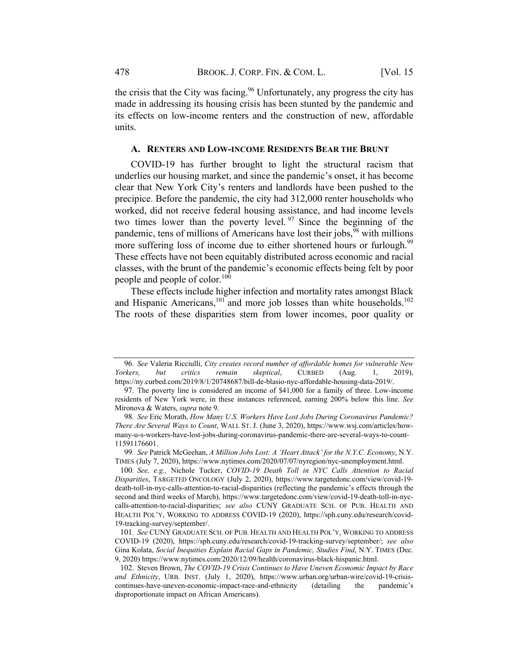the crisis that the City was facing.<sup>96</sup> Unfortunately, any progress the city has made in addressing its housing crisis has been stunted by the pandemic and its effects on low-income renters and the construction of new, affordable units.

#### A. RENTERS AND LOW-INCOME RESIDENTS BEAR THE BRUNT

COVID-19 has further brought to light the structural racism that underlies our housing market, and since the pandemic's onset, it has become clear that New York City's renters and landlords have been pushed to the precipice. Before the pandemic, the city had 312,000 renter households who worked, did not receive federal housing assistance, and had income levels two times lower than the poverty level.  $97$  Since the beginning of the pandemic, tens of millions of Americans have lost their jobs,  $98$  with millions more suffering loss of income due to either shortened hours or furlough.<sup>99</sup> These effects have not been equitably distributed across economic and racial classes, with the brunt of the pandemic's economic effects being felt by poor people and people of color.<sup>100</sup>

These effects include higher infection and mortality rates amongst Black and Hispanic Americans,<sup>101</sup> and more job losses than white households.<sup>102</sup> The roots of these disparities stem from lower incomes, poor quality or

<sup>96</sup>. See Valeria Ricciulli, City creates record number of affordable homes for vulnerable New Yorkers, but critics remain skeptical, CURBED (Aug. 1, 2019), https://ny.curbed.com/2019/8/1/20748687/bill-de-blasio-nyc-affordable-housing-data-2019/.

<sup>97.</sup> The poverty line is considered an income of \$41,000 for a family of three. Low-income residents of New York were, in these instances referenced, earning 200% below this line. See Mironova & Waters, supra note 9.

<sup>98.</sup> See Eric Morath, How Many U.S. Workers Have Lost Jobs During Coronavirus Pandemic? There Are Several Ways to Count, WALL ST. J. (June 3, 2020), https://www.wsj.com/articles/howmany-u-s-workers-have-lost-jobs-during-coronavirus-pandemic-there-are-several-ways-to-count-11591176601.

<sup>99.</sup> See Patrick McGeehan, A Million Jobs Lost: A 'Heart Attack' for the N.Y.C. Economy, N.Y. TIMES (July 7, 2020), https://www.nytimes.com/2020/07/07/nyregion/nyc-unemployment.html.

<sup>100</sup>. See, e.g., Nichole Tucker, COVID-19 Death Toll in NYC Calls Attention to Racial Disparities, TARGETED ONCOLOGY (July 2, 2020), https://www.targetedonc.com/view/covid-19 death-toll-in-nyc-calls-attention-to-racial-disparities (reflecting the pandemic's effects through the second and third weeks of March), https://www.targetedonc.com/view/covid-19-death-toll-in-nyccalls-attention-to-racial-disparities; see also CUNY GRADUATE SCH. OF PUB. HEALTH AND HEALTH POL'Y, WORKING TO ADDRESS COVID-19 (2020), https://sph.cuny.edu/research/covid-19-tracking-survey/september/.

<sup>101</sup>. See CUNY GRADUATE SCH. OF PUB. HEALTH AND HEALTH POL'Y, WORKING TO ADDRESS COVID-19 (2020), https://sph.cuny.edu/research/covid-19-tracking-survey/september/; see also Gina Kolata, Social Inequities Explain Racial Gaps in Pandemic, Studies Find, N.Y. TIMES (Dec. 9, 2020) https://www.nytimes.com/2020/12/09/health/coronavirus-black-hispanic.html.

<sup>102.</sup> Steven Brown, The COVID-19 Crisis Continues to Have Uneven Economic Impact by Race and Ethnicity, URB. INST. (July 1, 2020), https://www.urban.org/urban-wire/covid-19-crisiscontinues-have-uneven-economic-impact-race-and-ethnicity (detailing the pandemic's disproportionate impact on African Americans).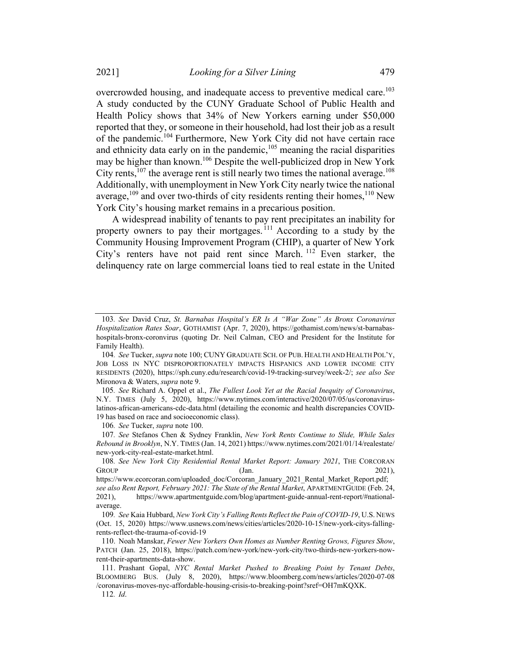overcrowded housing, and inadequate access to preventive medical care.<sup>103</sup> A study conducted by the CUNY Graduate School of Public Health and Health Policy shows that 34% of New Yorkers earning under \$50,000 reported that they, or someone in their household, had lost their job as a result of the pandemic.<sup>104</sup> Furthermore, New York City did not have certain race and ethnicity data early on in the pandemic, $105$  meaning the racial disparities may be higher than known.106 Despite the well-publicized drop in New York City rents,  $107$  the average rent is still nearly two times the national average.  $108$ Additionally, with unemployment in New York City nearly twice the national average, $109$  and over two-thirds of city residents renting their homes,  $110$  New York City's housing market remains in a precarious position.

A widespread inability of tenants to pay rent precipitates an inability for property owners to pay their mortgages.<sup>111</sup> According to a study by the Community Housing Improvement Program (CHIP), a quarter of New York City's renters have not paid rent since March. <sup>112</sup> Even starker, the delinquency rate on large commercial loans tied to real estate in the United

106. See Tucker, supra note 100.

107. See Stefanos Chen & Sydney Franklin, New York Rents Continue to Slide, While Sales Rebound in Brooklyn, N.Y. TIMES (Jan. 14, 2021) https://www.nytimes.com/2021/01/14/realestate/ new-york-city-real-estate-market.html.

<sup>103</sup>. See David Cruz, St. Barnabas Hospital's ER Is A "War Zone" As Bronx Coronavirus Hospitalization Rates Soar, GOTHAMIST (Apr. 7, 2020), https://gothamist.com/news/st-barnabashospitals-bronx-coronvirus (quoting Dr. Neil Calman, CEO and President for the Institute for Family Health).

<sup>104.</sup> See Tucker, supra note 100; CUNY GRADUATE SCH. OF PUB. HEALTH AND HEALTH POL'Y, JOB LOSS IN NYC DISPROPORTIONATELY IMPACTS HISPANICS AND LOWER INCOME CITY RESIDENTS (2020), https://sph.cuny.edu/research/covid-19-tracking-survey/week-2/; see also See Mironova & Waters, supra note 9.

<sup>105.</sup> See Richard A. Oppel et al., The Fullest Look Yet at the Racial Inequity of Coronavirus, N.Y. TIMES (July 5, 2020), https://www.nytimes.com/interactive/2020/07/05/us/coronaviruslatinos-african-americans-cdc-data.html (detailing the economic and health discrepancies COVID-19 has based on race and socioeconomic class).

<sup>108</sup>. See New York City Residential Rental Market Report: January 2021, THE CORCORAN GROUP (Jan. 2021),

https://www.ecorcoran.com/uploaded\_doc/Corcoran\_January\_2021\_Rental\_Market\_Report.pdf; see also Rent Report, February 2021: The State of the Rental Market, APARTMENTGUIDE (Feb. 24, 2021), https://www.apartmentguide.com/blog/apartment-guide-annual-rent-report/#nationalaverage.

<sup>109</sup>. See Kaia Hubbard, New York City's Falling Rents Reflect the Pain of COVID-19, U.S. NEWS (Oct. 15, 2020) https://www.usnews.com/news/cities/articles/2020-10-15/new-york-citys-fallingrents-reflect-the-trauma-of-covid-19

<sup>110.</sup> Noah Manskar, Fewer New Yorkers Own Homes as Number Renting Grows, Figures Show, PATCH (Jan. 25, 2018), https://patch.com/new-york/new-york-city/two-thirds-new-yorkers-nowrent-their-apartments-data-show.

<sup>111.</sup> Prashant Gopal, NYC Rental Market Pushed to Breaking Point by Tenant Debts, BLOOMBERG BUS. (July 8, 2020), https://www.bloomberg.com/news/articles/2020-07-08 /coronavirus-moves-nyc-affordable-housing-crisis-to-breaking-point?sref=OH7mKQXK.

<sup>112</sup>. Id.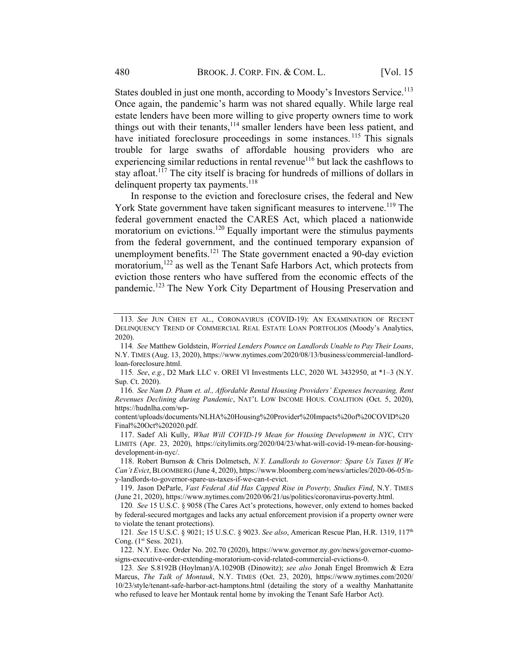States doubled in just one month, according to Moody's Investors Service.<sup>113</sup> Once again, the pandemic's harm was not shared equally. While large real estate lenders have been more willing to give property owners time to work things out with their tenants,<sup>114</sup> smaller lenders have been less patient, and have initiated foreclosure proceedings in some instances.<sup>115</sup> This signals trouble for large swaths of affordable housing providers who are experiencing similar reductions in rental revenue<sup>116</sup> but lack the cashflows to stay afloat.<sup>117</sup> The city itself is bracing for hundreds of millions of dollars in delinquent property tax payments.<sup>118</sup>

In response to the eviction and foreclosure crises, the federal and New York State government have taken significant measures to intervene.<sup>119</sup> The federal government enacted the CARES Act, which placed a nationwide moratorium on evictions.<sup>120</sup> Equally important were the stimulus payments from the federal government, and the continued temporary expansion of unemployment benefits.<sup>121</sup> The State government enacted a 90-day eviction moratorium,<sup>122</sup> as well as the Tenant Safe Harbors Act, which protects from eviction those renters who have suffered from the economic effects of the pandemic.<sup>123</sup> The New York City Department of Housing Preservation and

content/uploads/documents/NLHA%20Housing%20Provider%20Impacts%20of%20COVID%20 Final%20Oct%202020.pdf.

117. Sadef Ali Kully, What Will COVID-19 Mean for Housing Development in NYC, CITY LIMITS (Apr. 23, 2020), https://citylimits.org/2020/04/23/what-will-covid-19-mean-for-housingdevelopment-in-nyc/.

118. Robert Burnson & Chris Dolmetsch, N.Y. Landlords to Governor: Spare Us Taxes If We Can't Evict, BLOOMBERG (June 4, 2020), https://www.bloomberg.com/news/articles/2020-06-05/ny-landlords-to-governor-spare-us-taxes-if-we-can-t-evict.

119. Jason DeParle, Vast Federal Aid Has Capped Rise in Poverty, Studies Find, N.Y. TIMES (June 21, 2020), https://www.nytimes.com/2020/06/21/us/politics/coronavirus-poverty.html.

120. See 15 U.S.C. § 9058 (The Cares Act's protections, however, only extend to homes backed by federal-secured mortgages and lacks any actual enforcement provision if a property owner were to violate the tenant protections).

121. See 15 U.S.C. § 9021; 15 U.S.C. § 9023. See also, American Rescue Plan, H.R. 1319, 117<sup>th</sup> Cong. (1<sup>st</sup> Sess. 2021).

122. N.Y. Exec. Order No. 202.70 (2020), https://www.governor.ny.gov/news/governor-cuomosigns-executive-order-extending-moratorium-covid-related-commercial-evictions-0.

123. See S.8192B (Hoylman)/A.10290B (Dinowitz); see also Jonah Engel Bromwich & Ezra Marcus, The Talk of Montauk, N.Y. TIMES (Oct. 23, 2020), https://www.nytimes.com/2020/ 10/23/style/tenant-safe-harbor-act-hamptons.html (detailing the story of a wealthy Manhattanite who refused to leave her Montauk rental home by invoking the Tenant Safe Harbor Act).

<sup>113</sup>. See JUN CHEN ET AL., CORONAVIRUS (COVID-19): AN EXAMINATION OF RECENT DELINQUENCY TREND OF COMMERCIAL REAL ESTATE LOAN PORTFOLIOS (Moody's Analytics, 2020).

<sup>114</sup>. See Matthew Goldstein, Worried Lenders Pounce on Landlords Unable to Pay Their Loans, N.Y. TIMES (Aug. 13, 2020), https://www.nytimes.com/2020/08/13/business/commercial-landlordloan-foreclosure.html.

<sup>115</sup>. See, e.g., D2 Mark LLC v. OREI VI Investments LLC, 2020 WL 3432950, at \*1–3 (N.Y. Sup. Ct. 2020).

<sup>116</sup>. See Nam D. Pham et. al., Affordable Rental Housing Providers' Expenses Increasing, Rent Revenues Declining during Pandemic, NAT'L LOW INCOME HOUS. COALITION (Oct. 5, 2020), https://hudnlha.com/wp-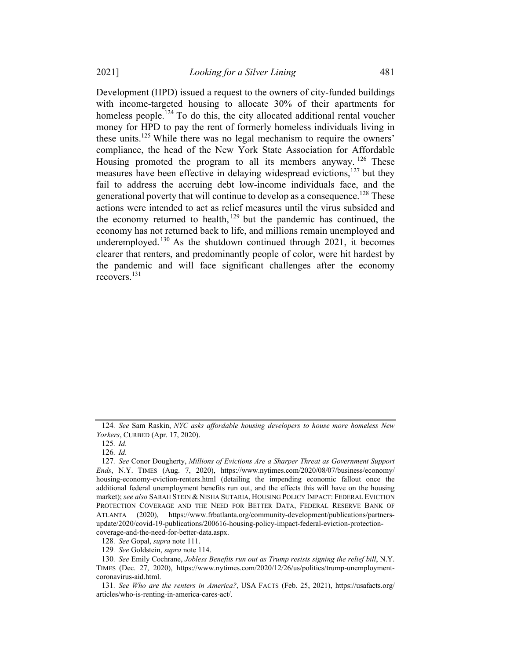Development (HPD) issued a request to the owners of city-funded buildings with income-targeted housing to allocate 30% of their apartments for homeless people.<sup>124</sup> To do this, the city allocated additional rental voucher money for HPD to pay the rent of formerly homeless individuals living in these units.<sup>125</sup> While there was no legal mechanism to require the owners' compliance, the head of the New York State Association for Affordable Housing promoted the program to all its members anyway.  $126$  These measures have been effective in delaying widespread evictions, $127$  but they fail to address the accruing debt low-income individuals face, and the generational poverty that will continue to develop as a consequence.<sup>128</sup> These actions were intended to act as relief measures until the virus subsided and the economy returned to health,  $129$  but the pandemic has continued, the economy has not returned back to life, and millions remain unemployed and underemployed.<sup>130</sup> As the shutdown continued through 2021, it becomes clearer that renters, and predominantly people of color, were hit hardest by the pandemic and will face significant challenges after the economy recovers.<sup>131</sup>

<sup>124</sup>. See Sam Raskin, NYC asks affordable housing developers to house more homeless New Yorkers, CURBED (Apr. 17, 2020).

<sup>125</sup>. Id.

<sup>126</sup>. Id.

<sup>127</sup>. See Conor Dougherty, Millions of Evictions Are a Sharper Threat as Government Support Ends, N.Y. TIMES (Aug. 7, 2020), https://www.nytimes.com/2020/08/07/business/economy/ housing-economy-eviction-renters.html (detailing the impending economic fallout once the additional federal unemployment benefits run out, and the effects this will have on the housing market); see also SARAH STEIN & NISHA SUTARIA, HOUSING POLICY IMPACT: FEDERAL EVICTION PROTECTION COVERAGE AND THE NEED FOR BETTER DATA, FEDERAL RESERVE BANK OF ATLANTA (2020), https://www.frbatlanta.org/community-development/publications/partnersupdate/2020/covid-19-publications/200616-housing-policy-impact-federal-eviction-protectioncoverage-and-the-need-for-better-data.aspx.

<sup>128</sup>. See Gopal, supra note 111.

<sup>129</sup>. See Goldstein, supra note 114.

<sup>130.</sup> See Emily Cochrane, Jobless Benefits run out as Trump resists signing the relief bill, N.Y. TIMES (Dec. 27, 2020), https://www.nytimes.com/2020/12/26/us/politics/trump-unemploymentcoronavirus-aid.html.

<sup>131</sup>. See Who are the renters in America?, USA FACTS (Feb. 25, 2021), https://usafacts.org/ articles/who-is-renting-in-america-cares-act/.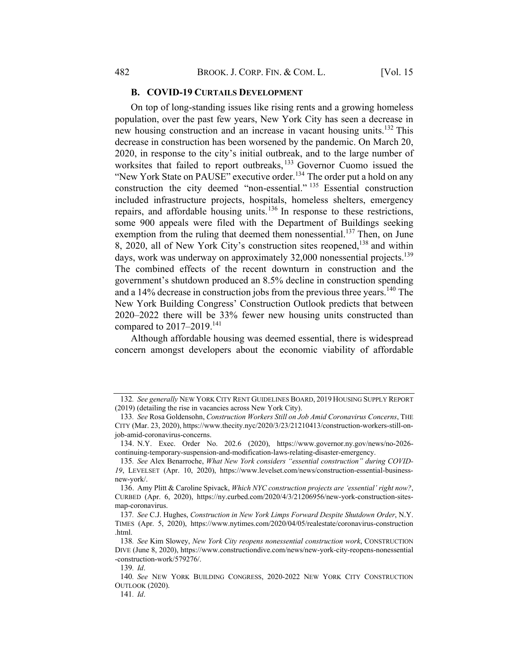#### B. COVID-19 CURTAILS DEVELOPMENT

On top of long-standing issues like rising rents and a growing homeless population, over the past few years, New York City has seen a decrease in new housing construction and an increase in vacant housing units.<sup>132</sup> This decrease in construction has been worsened by the pandemic. On March 20, 2020, in response to the city's initial outbreak, and to the large number of worksites that failed to report outbreaks, <sup>133</sup> Governor Cuomo issued the "New York State on PAUSE" executive order.<sup>134</sup> The order put a hold on any construction the city deemed "non-essential." <sup>135</sup> Essential construction included infrastructure projects, hospitals, homeless shelters, emergency repairs, and affordable housing units.<sup>136</sup> In response to these restrictions, some 900 appeals were filed with the Department of Buildings seeking exemption from the ruling that deemed them nonessential.<sup>137</sup> Then, on June 8, 2020, all of New York City's construction sites reopened,<sup>138</sup> and within days, work was underway on approximately 32,000 nonessential projects.<sup>139</sup> The combined effects of the recent downturn in construction and the government's shutdown produced an 8.5% decline in construction spending and a  $14\%$  decrease in construction jobs from the previous three years.<sup>140</sup> The New York Building Congress' Construction Outlook predicts that between 2020–2022 there will be 33% fewer new housing units constructed than compared to  $2017-2019$ <sup>141</sup>

Although affordable housing was deemed essential, there is widespread concern amongst developers about the economic viability of affordable

<sup>132.</sup> See generally NEW YORK CITY RENT GUIDELINES BOARD, 2019 HOUSING SUPPLY REPORT (2019) (detailing the rise in vacancies across New York City).

<sup>133.</sup> See Rosa Goldensohn, Construction Workers Still on Job Amid Coronavirus Concerns, THE CITY (Mar. 23, 2020), https://www.thecity.nyc/2020/3/23/21210413/construction-workers-still-onjob-amid-coronavirus-concerns.

<sup>134.</sup> N.Y. Exec. Order No. 202.6 (2020), https://www.governor.ny.gov/news/no-2026 continuing-temporary-suspension-and-modification-laws-relating-disaster-emergency.

<sup>135</sup>. See Alex Benarroche, What New York considers "essential construction" during COVID-19, LEVELSET (Apr. 10, 2020), https://www.levelset.com/news/construction-essential-businessnew-york/.

<sup>136.</sup> Amy Plitt & Caroline Spivack, Which NYC construction projects are 'essential' right now?, CURBED (Apr. 6, 2020), https://ny.curbed.com/2020/4/3/21206956/new-york-construction-sitesmap-coronavirus.

<sup>137</sup>. See C.J. Hughes, Construction in New York Limps Forward Despite Shutdown Order, N.Y. TIMES (Apr. 5, 2020), https://www.nytimes.com/2020/04/05/realestate/coronavirus-construction .html.

<sup>138</sup>. See Kim Slowey, New York City reopens nonessential construction work, CONSTRUCTION DIVE (June 8, 2020), https://www.constructiondive.com/news/new-york-city-reopens-nonessential -construction-work/579276/.

<sup>139</sup>. Id.

<sup>140</sup>. See NEW YORK BUILDING CONGRESS, 2020-2022 NEW YORK CITY CONSTRUCTION OUTLOOK (2020).

<sup>141</sup>. Id.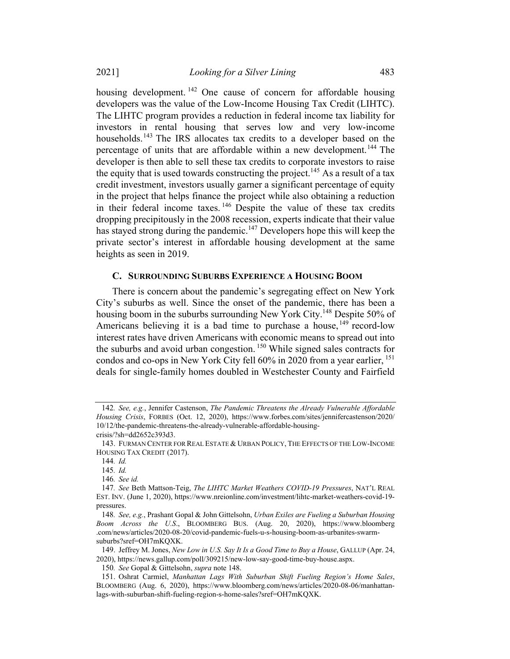housing development. <sup>142</sup> One cause of concern for affordable housing developers was the value of the Low-Income Housing Tax Credit (LIHTC). The LIHTC program provides a reduction in federal income tax liability for investors in rental housing that serves low and very low-income households.<sup>143</sup> The IRS allocates tax credits to a developer based on the percentage of units that are affordable within a new development.<sup>144</sup> The developer is then able to sell these tax credits to corporate investors to raise the equity that is used towards constructing the project.<sup>145</sup> As a result of a tax credit investment, investors usually garner a significant percentage of equity in the project that helps finance the project while also obtaining a reduction in their federal income taxes.<sup>146</sup> Despite the value of these tax credits dropping precipitously in the 2008 recession, experts indicate that their value has stayed strong during the pandemic.<sup>147</sup> Developers hope this will keep the private sector's interest in affordable housing development at the same heights as seen in 2019.

#### C. SURROUNDING SUBURBS EXPERIENCE A HOUSING BOOM

There is concern about the pandemic's segregating effect on New York City's suburbs as well. Since the onset of the pandemic, there has been a housing boom in the suburbs surrounding New York City.<sup>148</sup> Despite 50% of Americans believing it is a bad time to purchase a house, <sup>149</sup> record-low interest rates have driven Americans with economic means to spread out into the suburbs and avoid urban congestion. <sup>150</sup> While signed sales contracts for condos and co-ops in New York City fell 60% in 2020 from a year earlier, <sup>151</sup> deals for single-family homes doubled in Westchester County and Fairfield

<sup>142</sup>. See, e.g., Jennifer Castenson, The Pandemic Threatens the Already Vulnerable Affordable Housing Crisis, FORBES (Oct. 12, 2020), https://www.forbes.com/sites/jennifercastenson/2020/ 10/12/the-pandemic-threatens-the-already-vulnerable-affordable-housing-

crisis/?sh=dd2652c393d3.

<sup>143.</sup> FURMAN CENTER FOR REAL ESTATE & URBAN POLICY, THE EFFECTS OF THE LOW-INCOME HOUSING TAX CREDIT (2017).

<sup>144</sup>. Id.

<sup>145</sup>. Id.

<sup>146</sup>. See id.

<sup>147</sup>. See Beth Mattson-Teig, The LIHTC Market Weathers COVID-19 Pressures, NAT'L REAL EST. INV. (June 1, 2020), https://www.nreionline.com/investment/lihtc-market-weathers-covid-19 pressures.

<sup>148</sup>. See, e.g., Prashant Gopal & John Gittelsohn, Urban Exiles are Fueling a Suburban Housing Boom Across the U.S., BLOOMBERG BUS. (Aug. 20, 2020), https://www.bloomberg .com/news/articles/2020-08-20/covid-pandemic-fuels-u-s-housing-boom-as-urbanites-swarmsuburbs?sref=OH7mKQXK.

<sup>149.</sup> Jeffrey M. Jones, New Low in U.S. Say It Is a Good Time to Buy a House, GALLUP (Apr. 24, 2020), https://news.gallup.com/poll/309215/new-low-say-good-time-buy-house.aspx.

<sup>150.</sup> See Gopal & Gittelsohn, supra note 148.

<sup>151.</sup> Oshrat Carmiel, Manhattan Lags With Suburban Shift Fueling Region's Home Sales, BLOOMBERG (Aug. 6, 2020), https://www.bloomberg.com/news/articles/2020-08-06/manhattanlags-with-suburban-shift-fueling-region-s-home-sales?sref=OH7mKQXK.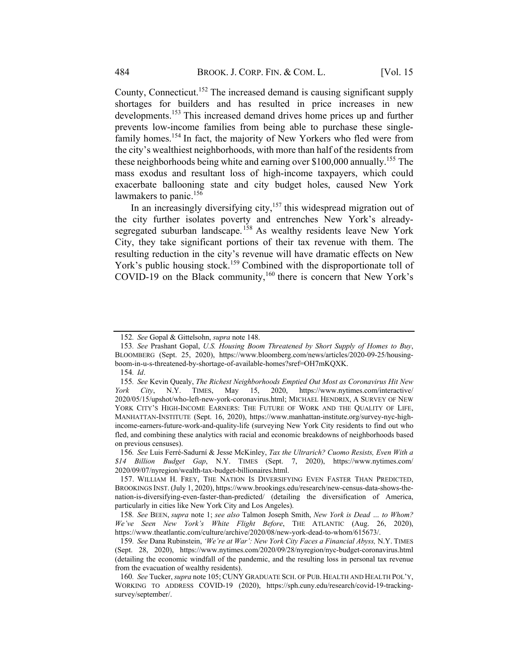County, Connecticut.<sup>152</sup> The increased demand is causing significant supply shortages for builders and has resulted in price increases in new developments. <sup>153</sup> This increased demand drives home prices up and further prevents low-income families from being able to purchase these singlefamily homes.<sup>154</sup> In fact, the majority of New Yorkers who fled were from the city's wealthiest neighborhoods, with more than half of the residents from these neighborhoods being white and earning over  $$100,000$  annually.<sup>155</sup> The mass exodus and resultant loss of high-income taxpayers, which could exacerbate ballooning state and city budget holes, caused New York lawmakers to panic.<sup>156</sup>

In an increasingly diversifying city,<sup>157</sup> this widespread migration out of the city further isolates poverty and entrenches New York's alreadysegregated suburban landscape.<sup>158</sup> As wealthy residents leave New York City, they take significant portions of their tax revenue with them. The resulting reduction in the city's revenue will have dramatic effects on New York's public housing stock.<sup>159</sup> Combined with the disproportionate toll of COVID-19 on the Black community,<sup>160</sup> there is concern that New York's

158. See BEEN, supra note 1; see also Talmon Joseph Smith, New York is Dead … to Whom? We've Seen New York's White Flight Before, THE ATLANTIC (Aug. 26, 2020), https://www.theatlantic.com/culture/archive/2020/08/new-york-dead-to-whom/615673/.

159. See Dana Rubinstein, 'We're at War': New York City Faces a Financial Abyss, N.Y. TIMES (Sept. 28, 2020), https://www.nytimes.com/2020/09/28/nyregion/nyc-budget-coronavirus.html (detailing the economic windfall of the pandemic, and the resulting loss in personal tax revenue from the evacuation of wealthy residents).

<sup>152</sup>. See Gopal & Gittelsohn, supra note 148.

<sup>153</sup>. See Prashant Gopal, U.S. Housing Boom Threatened by Short Supply of Homes to Buy, BLOOMBERG (Sept. 25, 2020), https://www.bloomberg.com/news/articles/2020-09-25/housingboom-in-u-s-threatened-by-shortage-of-available-homes?sref=OH7mKQXK.

<sup>154</sup>. Id.

<sup>155</sup>. See Kevin Quealy, The Richest Neighborhoods Emptied Out Most as Coronavirus Hit New York City, N.Y. TIMES, May 15, 2020, https://www.nytimes.com/interactive/ 2020/05/15/upshot/who-left-new-york-coronavirus.html; MICHAEL HENDRIX, A SURVEY OF NEW YORK CITY'S HIGH-INCOME EARNERS: THE FUTURE OF WORK AND THE QUALITY OF LIFE, MANHATTAN-INSTITUTE (Sept. 16, 2020), https://www.manhattan-institute.org/survey-nyc-highincome-earners-future-work-and-quality-life (surveying New York City residents to find out who fled, and combining these analytics with racial and economic breakdowns of neighborhoods based on previous censuses).

<sup>156</sup>. See Luis Ferré-Sadurní & Jesse McKinley, Tax the Ultrarich? Cuomo Resists, Even With a \$14 Billion Budget Gap, N.Y. TIMES (Sept. 7, 2020), https://www.nytimes.com/ 2020/09/07/nyregion/wealth-tax-budget-billionaires.html.

<sup>157.</sup> WILLIAM H. FREY, THE NATION IS DIVERSIFYING EVEN FASTER THAN PREDICTED, BROOKINGS INST. (July 1, 2020), https://www.brookings.edu/research/new-census-data-shows-thenation-is-diversifying-even-faster-than-predicted/ (detailing the diversification of America, particularly in cities like New York City and Los Angeles).

<sup>160.</sup> See Tucker, supra note 105; CUNY GRADUATE SCH. OF PUB. HEALTH AND HEALTH POL'Y, WORKING TO ADDRESS COVID-19 (2020), https://sph.cuny.edu/research/covid-19-trackingsurvey/september/.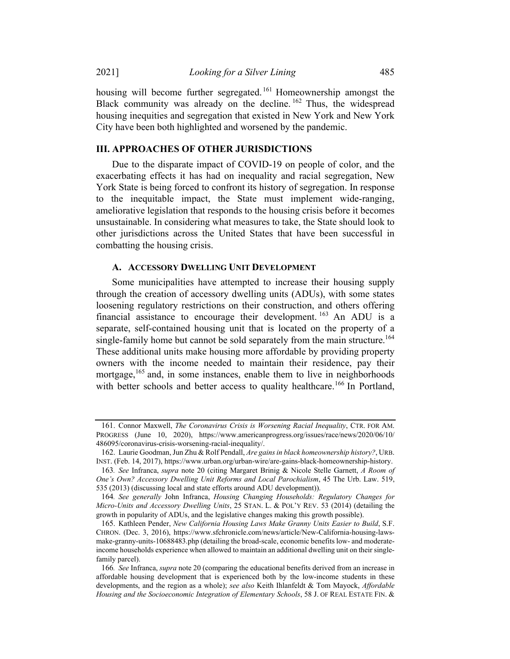housing will become further segregated.<sup>161</sup> Homeownership amongst the Black community was already on the decline.<sup>162</sup> Thus, the widespread housing inequities and segregation that existed in New York and New York City have been both highlighted and worsened by the pandemic.

#### III. APPROACHES OF OTHER JURISDICTIONS

Due to the disparate impact of COVID-19 on people of color, and the exacerbating effects it has had on inequality and racial segregation, New York State is being forced to confront its history of segregation. In response to the inequitable impact, the State must implement wide-ranging, ameliorative legislation that responds to the housing crisis before it becomes unsustainable. In considering what measures to take, the State should look to other jurisdictions across the United States that have been successful in combatting the housing crisis.

#### A. ACCESSORY DWELLING UNIT DEVELOPMENT

Some municipalities have attempted to increase their housing supply through the creation of accessory dwelling units (ADUs), with some states loosening regulatory restrictions on their construction, and others offering financial assistance to encourage their development.  $^{163}$  An ADU is a separate, self-contained housing unit that is located on the property of a single-family home but cannot be sold separately from the main structure.<sup>164</sup> These additional units make housing more affordable by providing property owners with the income needed to maintain their residence, pay their mortgage,<sup>165</sup> and, in some instances, enable them to live in neighborhoods with better schools and better access to quality healthcare.<sup>166</sup> In Portland,

<sup>161.</sup> Connor Maxwell, The Coronavirus Crisis is Worsening Racial Inequality, CTR. FOR AM. PROGRESS (June 10, 2020), https://www.americanprogress.org/issues/race/news/2020/06/10/ 486095/coronavirus-crisis-worsening-racial-inequality/.

<sup>162.</sup> Laurie Goodman, Jun Zhu & Rolf Pendall, Are gains in black homeownership history?, URB. INST. (Feb. 14, 2017), https://www.urban.org/urban-wire/are-gains-black-homeownership-history.

<sup>163.</sup> See Infranca, supra note 20 (citing Margaret Brinig & Nicole Stelle Garnett, A Room of One's Own? Accessory Dwelling Unit Reforms and Local Parochialism, 45 The Urb. Law. 519, 535 (2013) (discussing local and state efforts around ADU development)).

<sup>164</sup>. See generally John Infranca, Housing Changing Households: Regulatory Changes for Micro-Units and Accessory Dwelling Units, 25 STAN. L. & POL'Y REV. 53 (2014) (detailing the growth in popularity of ADUs, and the legislative changes making this growth possible).

<sup>165.</sup> Kathleen Pender, New California Housing Laws Make Granny Units Easier to Build, S.F. CHRON. (Dec. 3, 2016), https://www.sfchronicle.com/news/article/New-California-housing-lawsmake-granny-units-10688483.php (detailing the broad-scale, economic benefits low- and moderateincome households experience when allowed to maintain an additional dwelling unit on their singlefamily parcel).

<sup>166</sup>. See Infranca, supra note 20 (comparing the educational benefits derived from an increase in affordable housing development that is experienced both by the low-income students in these developments, and the region as a whole); see also Keith Ihlanfeldt & Tom Mayock, Affordable Housing and the Socioeconomic Integration of Elementary Schools, 58 J. OF REAL ESTATE FIN. &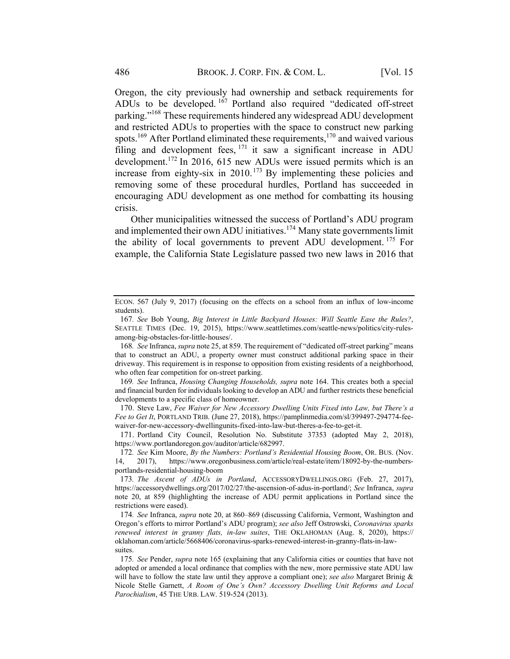Oregon, the city previously had ownership and setback requirements for ADUs to be developed. <sup>167</sup> Portland also required "dedicated off-street parking."168 These requirements hindered any widespread ADU development and restricted ADUs to properties with the space to construct new parking spots.<sup>169</sup> After Portland eliminated these requirements,<sup>170</sup> and waived various filing and development fees, <sup>171</sup> it saw a significant increase in ADU development.<sup>172</sup> In 2016, 615 new ADUs were issued permits which is an increase from eighty-six in  $2010$ .<sup>173</sup> By implementing these policies and removing some of these procedural hurdles, Portland has succeeded in encouraging ADU development as one method for combatting its housing crisis.

Other municipalities witnessed the success of Portland's ADU program and implemented their own ADU initiatives.<sup>174</sup> Many state governments limit the ability of local governments to prevent ADU development.<sup>175</sup> For example, the California State Legislature passed two new laws in 2016 that

169. See Infranca, Housing Changing Households, supra note 164. This creates both a special and financial burden for individualslooking to develop an ADU and further restricts these beneficial developments to a specific class of homeowner.

170. Steve Law, Fee Waiver for New Accessory Dwelling Units Fixed into Law, but There's a Fee to Get It, PORTLAND TRIB. (June 27, 2018), https://pamplinmedia.com/sl/399497-294774-feewaiver-for-new-accessory-dwellingunits-fixed-into-law-but-theres-a-fee-to-get-it.

171. Portland City Council, Resolution No. Substitute 37353 (adopted May 2, 2018), https://www.portlandoregon.gov/auditor/article/682997.

172. See Kim Moore, By the Numbers: Portland's Residential Housing Boom, OR. BUS. (Nov. 14, 2017), https://www.oregonbusiness.com/article/real-estate/item/18092-by-the-numbersportlands-residential-housing-boom

173. The Ascent of ADUs in Portland, ACCESSORYDWELLINGS.ORG (Feb. 27, 2017), https://accessorydwellings.org/2017/02/27/the-ascension-of-adus-in-portland/; See Infranca, supra note 20, at 859 (highlighting the increase of ADU permit applications in Portland since the restrictions were eased).

174. See Infranca, supra note 20, at 860–869 (discussing California, Vermont, Washington and Oregon's efforts to mirror Portland's ADU program); see also Jeff Ostrowski, Coronavirus sparks renewed interest in granny flats, in-law suites, THE OKLAHOMAN (Aug. 8, 2020), https:// oklahoman.com/article/5668406/coronavirus-sparks-renewed-interest-in-granny-flats-in-lawsuites.

175. See Pender, supra note 165 (explaining that any California cities or counties that have not adopted or amended a local ordinance that complies with the new, more permissive state ADU law will have to follow the state law until they approve a compliant one); see also Margaret Brinig & Nicole Stelle Garnett, A Room of One's Own? Accessory Dwelling Unit Reforms and Local Parochialism, 45 THE URB. LAW. 519-524 (2013).

ECON. 567 (July 9, 2017) (focusing on the effects on a school from an influx of low-income students).

<sup>167</sup>. See Bob Young, Big Interest in Little Backyard Houses: Will Seattle Ease the Rules?, SEATTLE TIMES (Dec. 19, 2015), https://www.seattletimes.com/seattle-news/politics/city-rulesamong-big-obstacles-for-little-houses/.

<sup>168</sup>. See Infranca, supra note 25, at 859. The requirement of "dedicated off-street parking" means that to construct an ADU, a property owner must construct additional parking space in their driveway. This requirement is in response to opposition from existing residents of a neighborhood, who often fear competition for on-street parking.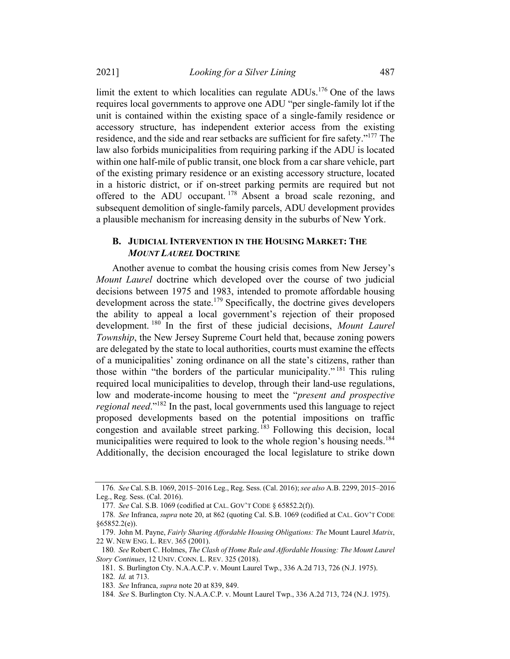2021] Looking for a Silver Lining 487

limit the extent to which localities can regulate ADUs.<sup>176</sup> One of the laws requires local governments to approve one ADU "per single-family lot if the unit is contained within the existing space of a single-family residence or accessory structure, has independent exterior access from the existing residence, and the side and rear setbacks are sufficient for fire safety."<sup>177</sup> The law also forbids municipalities from requiring parking if the ADU is located within one half-mile of public transit, one block from a car share vehicle, part of the existing primary residence or an existing accessory structure, located in a historic district, or if on-street parking permits are required but not offered to the ADU occupant. <sup>178</sup> Absent a broad scale rezoning, and subsequent demolition of single-family parcels, ADU development provides a plausible mechanism for increasing density in the suburbs of New York.

### B. JUDICIAL INTERVENTION IN THE HOUSING MARKET: THE MOUNT LAUREL DOCTRINE

Another avenue to combat the housing crisis comes from New Jersey's Mount Laurel doctrine which developed over the course of two judicial decisions between 1975 and 1983, intended to promote affordable housing development across the state.<sup>179</sup> Specifically, the doctrine gives developers the ability to appeal a local government's rejection of their proposed development. <sup>180</sup> In the first of these judicial decisions, *Mount Laurel* Township, the New Jersey Supreme Court held that, because zoning powers are delegated by the state to local authorities, courts must examine the effects of a municipalities' zoning ordinance on all the state's citizens, rather than those within "the borders of the particular municipality."<sup>181</sup> This ruling required local municipalities to develop, through their land-use regulations, low and moderate-income housing to meet the "present and prospective regional need."182 In the past, local governments used this language to reject proposed developments based on the potential impositions on traffic congestion and available street parking. <sup>183</sup> Following this decision, local municipalities were required to look to the whole region's housing needs.<sup>184</sup> Additionally, the decision encouraged the local legislature to strike down

<sup>176</sup>. See Cal. S.B. 1069, 2015–2016 Leg., Reg. Sess. (Cal. 2016); see also A.B. 2299, 2015–2016 Leg., Reg. Sess. (Cal. 2016).

<sup>177</sup>. See Cal. S.B. 1069 (codified at CAL. GOV'T CODE § 65852.2(f)).

<sup>178</sup>. See Infranca, supra note 20, at 862 (quoting Cal. S.B. 1069 (codified at CAL. GOV'T CODE §65852.2(e)).

<sup>179.</sup> John M. Payne, Fairly Sharing Affordable Housing Obligations: The Mount Laurel Matrix, 22 W. NEW ENG. L. REV. 365 (2001).

<sup>180</sup>. See Robert C. Holmes, The Clash of Home Rule and Affordable Housing: The Mount Laurel Story Continues, 12 UNIV. CONN. L. REV. 325 (2018).

<sup>181.</sup> S. Burlington Cty. N.A.A.C.P. v. Mount Laurel Twp., 336 A.2d 713, 726 (N.J. 1975). 182. Id. at 713.

<sup>183</sup>. See Infranca, supra note 20 at 839, 849.

<sup>184</sup>. See S. Burlington Cty. N.A.A.C.P. v. Mount Laurel Twp., 336 A.2d 713, 724 (N.J. 1975).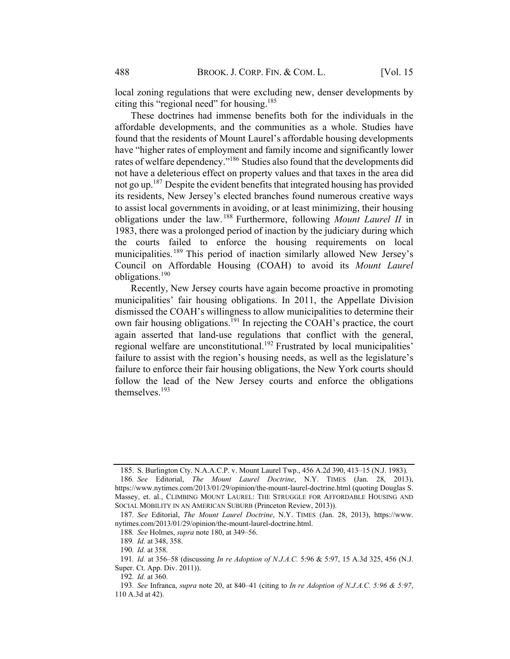local zoning regulations that were excluding new, denser developments by citing this "regional need" for housing.<sup>185</sup>

These doctrines had immense benefits both for the individuals in the affordable developments, and the communities as a whole. Studies have found that the residents of Mount Laurel's affordable housing developments have "higher rates of employment and family income and significantly lower rates of welfare dependency."186 Studies also found that the developments did not have a deleterious effect on property values and that taxes in the area did not go up.<sup>187</sup> Despite the evident benefits that integrated housing has provided its residents, New Jersey's elected branches found numerous creative ways to assist local governments in avoiding, or at least minimizing, their housing obligations under the law.  $188$  Furthermore, following *Mount Laurel II* in 1983, there was a prolonged period of inaction by the judiciary during which the courts failed to enforce the housing requirements on local municipalities.<sup>189</sup> This period of inaction similarly allowed New Jersey's Council on Affordable Housing (COAH) to avoid its Mount Laurel obligations.<sup>190</sup>

Recently, New Jersey courts have again become proactive in promoting municipalities' fair housing obligations. In 2011, the Appellate Division dismissed the COAH's willingness to allow municipalities to determine their own fair housing obligations. <sup>191</sup> In rejecting the COAH's practice, the court again asserted that land-use regulations that conflict with the general, regional welfare are unconstitutional.<sup>192</sup> Frustrated by local municipalities' failure to assist with the region's housing needs, as well as the legislature's failure to enforce their fair housing obligations, the New York courts should follow the lead of the New Jersey courts and enforce the obligations themselves.193

<sup>185.</sup> S. Burlington Cty. N.A.A.C.P. v. Mount Laurel Twp., 456 A.2d 390, 413–15 (N.J. 1983).

<sup>186</sup>. See Editorial, The Mount Laurel Doctrine, N.Y. TIMES (Jan. 28, 2013), https://www.nytimes.com/2013/01/29/opinion/the-mount-laurel-doctrine.html (quoting Douglas S. Massey, et. al., CLIMBING MOUNT LAUREL: THE STRUGGLE FOR AFFORDABLE HOUSING AND SOCIAL MOBILITY IN AN AMERICAN SUBURB (Princeton Review, 2013)).

<sup>187</sup>. See Editorial, The Mount Laurel Doctrine, N.Y. TIMES (Jan. 28, 2013), https://www. nytimes.com/2013/01/29/opinion/the-mount-laurel-doctrine.html.

<sup>188</sup>. See Holmes, supra note 180, at 349–56.

<sup>189</sup>. Id. at 348, 358.

<sup>190</sup>. Id. at 358.

<sup>191</sup>. Id. at 356–58 (discussing In re Adoption of N.J.A.C. 5:96 & 5:97, 15 A.3d 325, 456 (N.J. Super. Ct. App. Div. 2011)).

<sup>192</sup>. Id. at 360.

<sup>193.</sup> See Infranca, supra note 20, at 840–41 (citing to In re Adoption of N.J.A.C. 5:96 & 5:97, 110 A.3d at 42).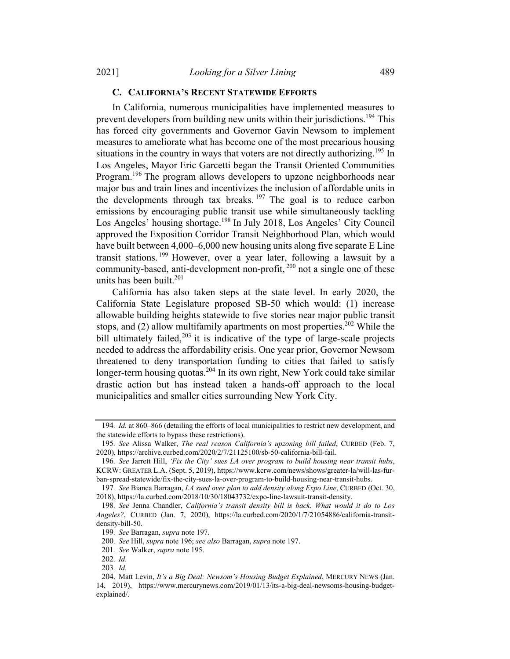#### C. CALIFORNIA'S RECENT STATEWIDE EFFORTS

In California, numerous municipalities have implemented measures to prevent developers from building new units within their jurisdictions.<sup>194</sup> This has forced city governments and Governor Gavin Newsom to implement measures to ameliorate what has become one of the most precarious housing situations in the country in ways that voters are not directly authorizing.<sup>195</sup> In Los Angeles, Mayor Eric Garcetti began the Transit Oriented Communities Program.<sup>196</sup> The program allows developers to upzone neighborhoods near major bus and train lines and incentivizes the inclusion of affordable units in the developments through tax breaks.  $197$  The goal is to reduce carbon emissions by encouraging public transit use while simultaneously tackling Los Angeles' housing shortage.<sup>198</sup> In July 2018, Los Angeles' City Council approved the Exposition Corridor Transit Neighborhood Plan, which would have built between 4,000–6,000 new housing units along five separate E Line transit stations.<sup>199</sup> However, over a year later, following a lawsuit by a community-based, anti-development non-profit, <sup>200</sup> not a single one of these units has been built. $^{201}$ 

California has also taken steps at the state level. In early 2020, the California State Legislature proposed SB-50 which would: (1) increase allowable building heights statewide to five stories near major public transit stops, and  $(2)$  allow multifamily apartments on most properties.<sup>202</sup> While the bill ultimately failed, $203$  it is indicative of the type of large-scale projects needed to address the affordability crisis. One year prior, Governor Newsom threatened to deny transportation funding to cities that failed to satisfy longer-term housing quotas.<sup>204</sup> In its own right, New York could take similar drastic action but has instead taken a hands-off approach to the local municipalities and smaller cities surrounding New York City.

<sup>194</sup>. Id. at 860–866 (detailing the efforts of local municipalities to restrict new development, and the statewide efforts to bypass these restrictions).

<sup>195</sup>. See Alissa Walker, The real reason California's upzoning bill failed, CURBED (Feb. 7, 2020), https://archive.curbed.com/2020/2/7/21125100/sb-50-california-bill-fail.

<sup>196</sup>. See Jarrett Hill, 'Fix the City' sues LA over program to build housing near transit hubs, KCRW: GREATER L.A. (Sept. 5, 2019), https://www.kcrw.com/news/shows/greater-la/will-las-furban-spread-statewide/fix-the-city-sues-la-over-program-to-build-housing-near-transit-hubs.

<sup>197</sup>. See Bianca Barragan, LA sued over plan to add density along Expo Line, CURBED (Oct. 30, 2018), https://la.curbed.com/2018/10/30/18043732/expo-line-lawsuit-transit-density.

<sup>198</sup>. See Jenna Chandler, California's transit density bill is back. What would it do to Los Angeles?, CURBED (Jan. 7, 2020), https://la.curbed.com/2020/1/7/21054886/california-transitdensity-bill-50.

<sup>199</sup>. See Barragan, supra note 197.

<sup>200</sup>. See Hill, supra note 196; see also Barragan, supra note 197.

<sup>201</sup>. See Walker, supra note 195.

<sup>202</sup>. Id.

<sup>203</sup>. Id.

<sup>204.</sup> Matt Levin, It's a Big Deal: Newsom's Housing Budget Explained, MERCURY NEWS (Jan. 14, 2019), https://www.mercurynews.com/2019/01/13/its-a-big-deal-newsoms-housing-budgetexplained/.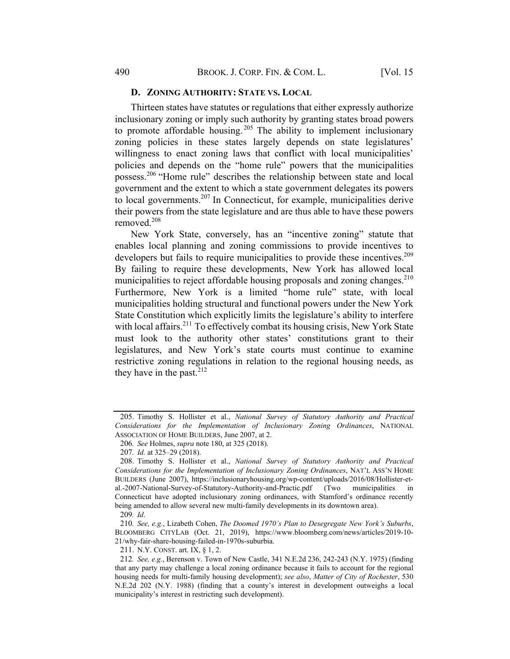#### D. ZONING AUTHORITY: STATE VS. LOCAL

Thirteen states have statutes or regulations that either expressly authorize inclusionary zoning or imply such authority by granting states broad powers to promote affordable housing.<sup>205</sup> The ability to implement inclusionary zoning policies in these states largely depends on state legislatures' willingness to enact zoning laws that conflict with local municipalities' policies and depends on the "home rule" powers that the municipalities possess.<sup>206</sup> "Home rule" describes the relationship between state and local government and the extent to which a state government delegates its powers to local governments.<sup>207</sup> In Connecticut, for example, municipalities derive their powers from the state legislature and are thus able to have these powers removed.208

New York State, conversely, has an "incentive zoning" statute that enables local planning and zoning commissions to provide incentives to developers but fails to require municipalities to provide these incentives.<sup>209</sup> By failing to require these developments, New York has allowed local municipalities to reject affordable housing proposals and zoning changes.<sup>210</sup> Furthermore, New York is a limited "home rule" state, with local municipalities holding structural and functional powers under the New York State Constitution which explicitly limits the legislature's ability to interfere with local affairs.<sup>211</sup> To effectively combat its housing crisis, New York State must look to the authority other states' constitutions grant to their legislatures, and New York's state courts must continue to examine restrictive zoning regulations in relation to the regional housing needs, as they have in the past. $212$ 

211. N.Y. CONST. art. IX, § 1, 2.

<sup>205.</sup> Timothy S. Hollister et al., National Survey of Statutory Authority and Practical Considerations for the Implementation of Inclusionary Zoning Ordinances, NATIONAL ASSOCIATION OF HOME BUILDERS, June 2007, at 2.

<sup>206</sup>. See Holmes, supra note 180, at 325 (2018).

<sup>207</sup>. Id. at 325–29 (2018).

<sup>208.</sup> Timothy S. Hollister et al., National Survey of Statutory Authority and Practical Considerations for the Implementation of Inclusionary Zoning Ordinances, NAT'L ASS'N HOME BUILDERS (June 2007), https://inclusionaryhousing.org/wp-content/uploads/2016/08/Hollister-etal.-2007-National-Survey-of-Statutory-Authority-and-Practic.pdf (Two municipalities in Connecticut have adopted inclusionary zoning ordinances, with Stamford's ordinance recently being amended to allow several new multi-family developments in its downtown area). 209. Id.

<sup>210</sup>. See, e.g., Lizabeth Cohen, The Doomed 1970's Plan to Desegregate New York's Suburbs, BLOOMBERG CITYLAB (Oct. 21, 2019), https://www.bloomberg.com/news/articles/2019-10- 21/why-fair-share-housing-failed-in-1970s-suburbia.

<sup>212</sup>. See, e.g., Berenson v. Town of New Castle, 341 N.E.2d 236, 242-243 (N.Y. 1975) (finding that any party may challenge a local zoning ordinance because it fails to account for the regional housing needs for multi-family housing development); see also, Matter of City of Rochester, 530 N.E.2d 202 (N.Y. 1988) (finding that a county's interest in development outweighs a local municipality's interest in restricting such development).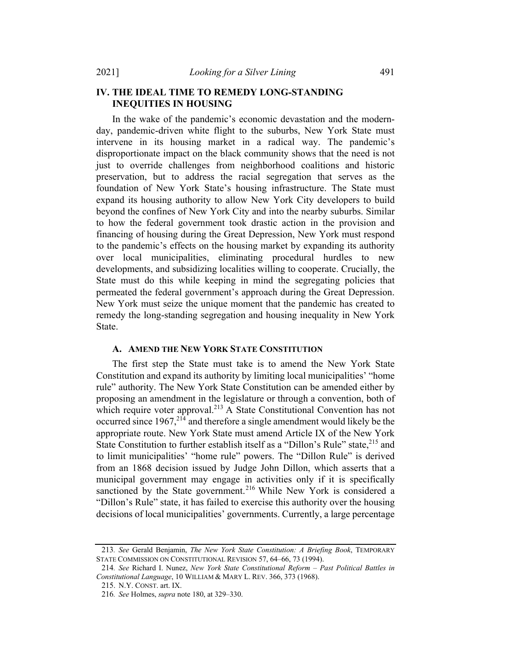# IV. THE IDEAL TIME TO REMEDY LONG-STANDING INEQUITIES IN HOUSING

In the wake of the pandemic's economic devastation and the modernday, pandemic-driven white flight to the suburbs, New York State must intervene in its housing market in a radical way. The pandemic's disproportionate impact on the black community shows that the need is not just to override challenges from neighborhood coalitions and historic preservation, but to address the racial segregation that serves as the foundation of New York State's housing infrastructure. The State must expand its housing authority to allow New York City developers to build beyond the confines of New York City and into the nearby suburbs. Similar to how the federal government took drastic action in the provision and financing of housing during the Great Depression, New York must respond to the pandemic's effects on the housing market by expanding its authority over local municipalities, eliminating procedural hurdles to new developments, and subsidizing localities willing to cooperate. Crucially, the State must do this while keeping in mind the segregating policies that permeated the federal government's approach during the Great Depression. New York must seize the unique moment that the pandemic has created to remedy the long-standing segregation and housing inequality in New York State.

#### A. AMEND THE NEW YORK STATE CONSTITUTION

The first step the State must take is to amend the New York State Constitution and expand its authority by limiting local municipalities' "home rule" authority. The New York State Constitution can be amended either by proposing an amendment in the legislature or through a convention, both of which require voter approval.<sup>213</sup> A State Constitutional Convention has not occurred since  $1967$ ,<sup>214</sup> and therefore a single amendment would likely be the appropriate route. New York State must amend Article IX of the New York State Constitution to further establish itself as a "Dillon's Rule" state, <sup>215</sup> and to limit municipalities' "home rule" powers. The "Dillon Rule" is derived from an 1868 decision issued by Judge John Dillon, which asserts that a municipal government may engage in activities only if it is specifically sanctioned by the State government.<sup>216</sup> While New York is considered a "Dillon's Rule" state, it has failed to exercise this authority over the housing decisions of local municipalities' governments. Currently, a large percentage

<sup>213</sup>. See Gerald Benjamin, The New York State Constitution: A Briefing Book, TEMPORARY STATE COMMISSION ON CONSTITUTIONAL REVISION 57, 64–66, 73 (1994).

<sup>214</sup>. See Richard I. Nunez, New York State Constitutional Reform – Past Political Battles in Constitutional Language, 10 WILLIAM & MARY L. REV. 366, 373 (1968).

<sup>215.</sup> N.Y. CONST. art. IX.

<sup>216</sup>. See Holmes, supra note 180, at 329–330.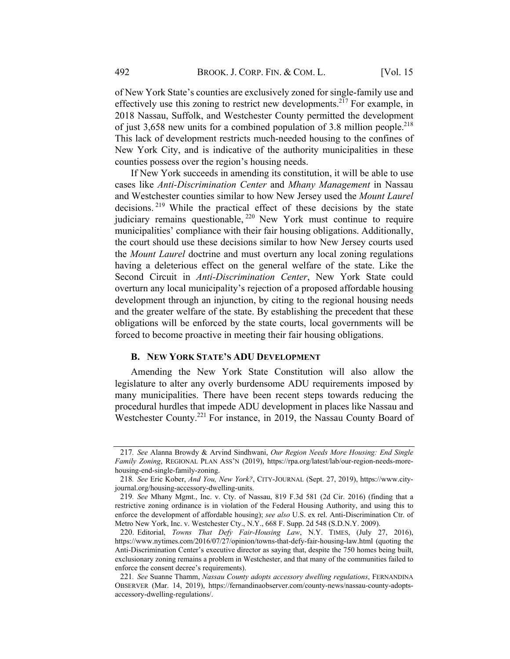of New York State's counties are exclusively zoned for single-family use and effectively use this zoning to restrict new developments.217 For example, in 2018 Nassau, Suffolk, and Westchester County permitted the development of just  $3,658$  new units for a combined population of 3.8 million people.<sup>218</sup> This lack of development restricts much-needed housing to the confines of New York City, and is indicative of the authority municipalities in these counties possess over the region's housing needs.

If New York succeeds in amending its constitution, it will be able to use cases like Anti-Discrimination Center and Mhany Management in Nassau and Westchester counties similar to how New Jersey used the Mount Laurel decisions. <sup>219</sup> While the practical effect of these decisions by the state judiciary remains questionable, <sup>220</sup> New York must continue to require municipalities' compliance with their fair housing obligations. Additionally, the court should use these decisions similar to how New Jersey courts used the Mount Laurel doctrine and must overturn any local zoning regulations having a deleterious effect on the general welfare of the state. Like the Second Circuit in Anti-Discrimination Center, New York State could overturn any local municipality's rejection of a proposed affordable housing development through an injunction, by citing to the regional housing needs and the greater welfare of the state. By establishing the precedent that these obligations will be enforced by the state courts, local governments will be forced to become proactive in meeting their fair housing obligations.

#### B. NEW YORK STATE'S ADU DEVELOPMENT

Amending the New York State Constitution will also allow the legislature to alter any overly burdensome ADU requirements imposed by many municipalities. There have been recent steps towards reducing the procedural hurdles that impede ADU development in places like Nassau and Westchester County.<sup>221</sup> For instance, in 2019, the Nassau County Board of

<sup>217</sup>. See Alanna Browdy & Arvind Sindhwani, Our Region Needs More Housing: End Single Family Zoning, REGIONAL PLAN ASS'N (2019), https://rpa.org/latest/lab/our-region-needs-morehousing-end-single-family-zoning.

<sup>218</sup>. See Eric Kober, And You, New York?, CITY-JOURNAL (Sept. 27, 2019), https://www.cityjournal.org/housing-accessory-dwelling-units.

<sup>219</sup>. See Mhany Mgmt., Inc. v. Cty. of Nassau, 819 F.3d 581 (2d Cir. 2016) (finding that a restrictive zoning ordinance is in violation of the Federal Housing Authority, and using this to enforce the development of affordable housing); see also U.S. ex rel. Anti-Discrimination Ctr. of Metro New York, Inc. v. Westchester Cty., N.Y., 668 F. Supp. 2d 548 (S.D.N.Y. 2009).

<sup>220.</sup> Editorial, Towns That Defy Fair-Housing Law, N.Y. TIMES, (July 27, 2016), https://www.nytimes.com/2016/07/27/opinion/towns-that-defy-fair-housing-law.html (quoting the Anti-Discrimination Center's executive director as saying that, despite the 750 homes being built, exclusionary zoning remains a problem in Westchester, and that many of the communities failed to enforce the consent decree's requirements).

<sup>221.</sup> See Suanne Thamm, Nassau County adopts accessory dwelling regulations, FERNANDINA OBSERVER (Mar. 14, 2019), https://fernandinaobserver.com/county-news/nassau-county-adoptsaccessory-dwelling-regulations/.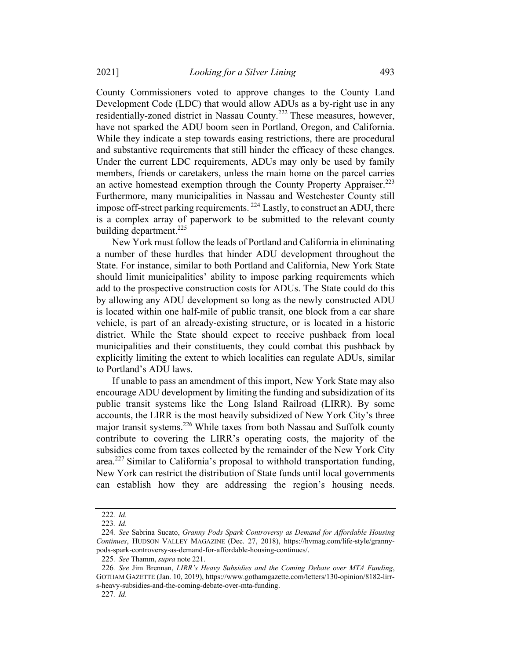County Commissioners voted to approve changes to the County Land Development Code (LDC) that would allow ADUs as a by-right use in any residentially-zoned district in Nassau County.<sup>222</sup> These measures, however, have not sparked the ADU boom seen in Portland, Oregon, and California. While they indicate a step towards easing restrictions, there are procedural and substantive requirements that still hinder the efficacy of these changes. Under the current LDC requirements, ADUs may only be used by family members, friends or caretakers, unless the main home on the parcel carries an active homestead exemption through the County Property Appraiser.<sup>223</sup> Furthermore, many municipalities in Nassau and Westchester County still impose off-street parking requirements.  $^{224}$  Lastly, to construct an ADU, there is a complex array of paperwork to be submitted to the relevant county building department.<sup>225</sup>

New York must follow the leads of Portland and California in eliminating a number of these hurdles that hinder ADU development throughout the State. For instance, similar to both Portland and California, New York State should limit municipalities' ability to impose parking requirements which add to the prospective construction costs for ADUs. The State could do this by allowing any ADU development so long as the newly constructed ADU is located within one half-mile of public transit, one block from a car share vehicle, is part of an already-existing structure, or is located in a historic district. While the State should expect to receive pushback from local municipalities and their constituents, they could combat this pushback by explicitly limiting the extent to which localities can regulate ADUs, similar to Portland's ADU laws.

If unable to pass an amendment of this import, New York State may also encourage ADU development by limiting the funding and subsidization of its public transit systems like the Long Island Railroad (LIRR). By some accounts, the LIRR is the most heavily subsidized of New York City's three major transit systems.<sup>226</sup> While taxes from both Nassau and Suffolk county contribute to covering the LIRR's operating costs, the majority of the subsidies come from taxes collected by the remainder of the New York City area.<sup>227</sup> Similar to California's proposal to withhold transportation funding, New York can restrict the distribution of State funds until local governments can establish how they are addressing the region's housing needs.

<sup>222</sup>. Id.

<sup>223</sup>. Id.

<sup>224</sup>. See Sabrina Sucato, Granny Pods Spark Controversy as Demand for Affordable Housing Continues, HUDSON VALLEY MAGAZINE (Dec. 27, 2018), https://hvmag.com/life-style/grannypods-spark-controversy-as-demand-for-affordable-housing-continues/.

<sup>225</sup>. See Thamm, supra note 221.

<sup>226</sup>. See Jim Brennan, LIRR's Heavy Subsidies and the Coming Debate over MTA Funding, GOTHAM GAZETTE (Jan. 10, 2019), https://www.gothamgazette.com/letters/130-opinion/8182-lirrs-heavy-subsidies-and-the-coming-debate-over-mta-funding.

<sup>227</sup>. Id.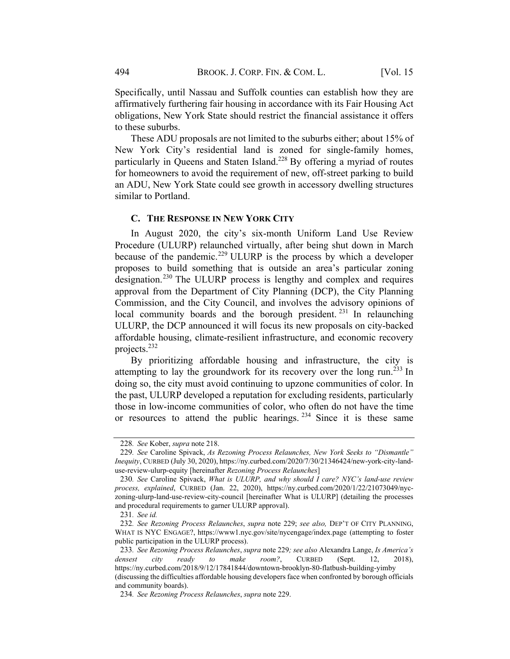Specifically, until Nassau and Suffolk counties can establish how they are affirmatively furthering fair housing in accordance with its Fair Housing Act obligations, New York State should restrict the financial assistance it offers to these suburbs.

These ADU proposals are not limited to the suburbs either; about 15% of New York City's residential land is zoned for single-family homes, particularly in Queens and Staten Island.<sup>228</sup> By offering a myriad of routes for homeowners to avoid the requirement of new, off-street parking to build an ADU, New York State could see growth in accessory dwelling structures similar to Portland.

#### C. THE RESPONSE IN NEW YORK CITY

In August 2020, the city's six-month Uniform Land Use Review Procedure (ULURP) relaunched virtually, after being shut down in March because of the pandemic.<sup>229</sup> ULURP is the process by which a developer proposes to build something that is outside an area's particular zoning designation.<sup>230</sup> The ULURP process is lengthy and complex and requires approval from the Department of City Planning (DCP), the City Planning Commission, and the City Council, and involves the advisory opinions of local community boards and the borough president.  $231$  In relaunching ULURP, the DCP announced it will focus its new proposals on city-backed affordable housing, climate-resilient infrastructure, and economic recovery projects.<sup>232</sup>

By prioritizing affordable housing and infrastructure, the city is attempting to lay the groundwork for its recovery over the long run.<sup>233</sup> In doing so, the city must avoid continuing to upzone communities of color. In the past, ULURP developed a reputation for excluding residents, particularly those in low-income communities of color, who often do not have the time or resources to attend the public hearings.  $234$  Since it is these same

<sup>228</sup>. See Kober, supra note 218.

<sup>229</sup>. See Caroline Spivack, As Rezoning Process Relaunches, New York Seeks to "Dismantle" Inequity, CURBED (July 30, 2020), https://ny.curbed.com/2020/7/30/21346424/new-york-city-landuse-review-ulurp-equity [hereinafter Rezoning Process Relaunches]

<sup>230</sup>. See Caroline Spivack, What is ULURP, and why should I care? NYC's land-use review process, explained, CURBED (Jan. 22, 2020), https://ny.curbed.com/2020/1/22/21073049/nyczoning-ulurp-land-use-review-city-council [hereinafter What is ULURP] (detailing the processes and procedural requirements to garner ULURP approval).

<sup>231</sup>. See id.

<sup>232</sup>. See Rezoning Process Relaunches, supra note 229; see also, DEP'T OF CITY PLANNING, WHAT IS NYC ENGAGE?, https://www1.nyc.gov/site/nycengage/index.page (attempting to foster public participation in the ULURP process).

<sup>233</sup>. See Rezoning Process Relaunches, supra note 229; see also Alexandra Lange, Is America's densest city ready to make room?, CURBED (Sept. 12, 2018), https://ny.curbed.com/2018/9/12/17841844/downtown-brooklyn-80-flatbush-building-yimby (discussing the difficulties affordable housing developersface when confronted by borough officials and community boards).

<sup>234</sup>. See Rezoning Process Relaunches, supra note 229.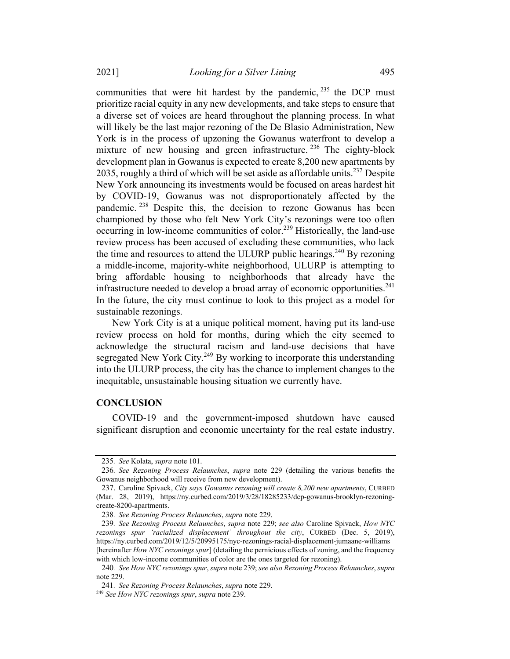communities that were hit hardest by the pandemic,  $235$  the DCP must prioritize racial equity in any new developments, and take steps to ensure that a diverse set of voices are heard throughout the planning process. In what will likely be the last major rezoning of the De Blasio Administration, New York is in the process of upzoning the Gowanus waterfront to develop a mixture of new housing and green infrastructure.<sup>236</sup> The eighty-block development plan in Gowanus is expected to create 8,200 new apartments by

2035, roughly a third of which will be set aside as affordable units.<sup>237</sup> Despite New York announcing its investments would be focused on areas hardest hit by COVID-19, Gowanus was not disproportionately affected by the pandemic.<sup>238</sup> Despite this, the decision to rezone Gowanus has been championed by those who felt New York City's rezonings were too often occurring in low-income communities of color.<sup>239</sup> Historically, the land-use review process has been accused of excluding these communities, who lack the time and resources to attend the ULURP public hearings.<sup>240</sup> By rezoning a middle-income, majority-white neighborhood, ULURP is attempting to bring affordable housing to neighborhoods that already have the infrastructure needed to develop a broad array of economic opportunities.<sup>241</sup> In the future, the city must continue to look to this project as a model for sustainable rezonings.

New York City is at a unique political moment, having put its land-use review process on hold for months, during which the city seemed to acknowledge the structural racism and land-use decisions that have segregated New York City.<sup>249</sup> By working to incorporate this understanding into the ULURP process, the city has the chance to implement changes to the inequitable, unsustainable housing situation we currently have.

#### **CONCLUSION**

COVID-19 and the government-imposed shutdown have caused significant disruption and economic uncertainty for the real estate industry.

<sup>235</sup>. See Kolata, supra note 101.

<sup>236</sup>. See Rezoning Process Relaunches, supra note 229 (detailing the various benefits the Gowanus neighborhood will receive from new development).

<sup>237.</sup> Caroline Spivack, City says Gowanus rezoning will create 8,200 new apartments, CURBED (Mar. 28, 2019), https://ny.curbed.com/2019/3/28/18285233/dcp-gowanus-brooklyn-rezoningcreate-8200-apartments.

<sup>238</sup>. See Rezoning Process Relaunches, supra note 229.

<sup>239</sup>. See Rezoning Process Relaunches, supra note 229; see also Caroline Spivack, How NYC rezonings spur 'racialized displacement' throughout the city, CURBED (Dec. 5, 2019), https://ny.curbed.com/2019/12/5/20995175/nyc-rezonings-racial-displacement-jumaane-williams [hereinafter How NYC rezonings spur] (detailing the pernicious effects of zoning, and the frequency with which low-income communities of color are the ones targeted for rezoning).

<sup>240</sup>. See How NYC rezonings spur, supra note 239; see also Rezoning Process Relaunches, supra note 229.

<sup>241</sup>. See Rezoning Process Relaunches, supra note 229.

<sup>&</sup>lt;sup>249</sup> See How NYC rezonings spur, supra note 239.